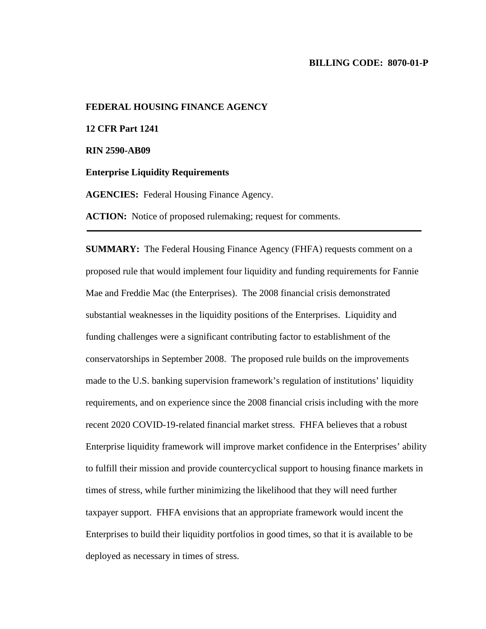#### **BILLING CODE: 8070-01-P**

**FEDERAL HOUSING FINANCE AGENCY 12 CFR Part 1241 RIN 2590-AB09 Enterprise Liquidity Requirements AGENCIES:** Federal Housing Finance Agency.

ACTION: Notice of proposed rulemaking; request for comments.

**SUMMARY:** The Federal Housing Finance Agency (FHFA) requests comment on a proposed rule that would implement four liquidity and funding requirements for Fannie Mae and Freddie Mac (the Enterprises). The 2008 financial crisis demonstrated substantial weaknesses in the liquidity positions of the Enterprises. Liquidity and funding challenges were a significant contributing factor to establishment of the conservatorships in September 2008. The proposed rule builds on the improvements made to the U.S. banking supervision framework's regulation of institutions' liquidity requirements, and on experience since the 2008 financial crisis including with the more recent 2020 COVID-19-related financial market stress. FHFA believes that a robust Enterprise liquidity framework will improve market confidence in the Enterprises' ability to fulfill their mission and provide countercyclical support to housing finance markets in times of stress, while further minimizing the likelihood that they will need further taxpayer support. FHFA envisions that an appropriate framework would incent the Enterprises to build their liquidity portfolios in good times, so that it is available to be deployed as necessary in times of stress.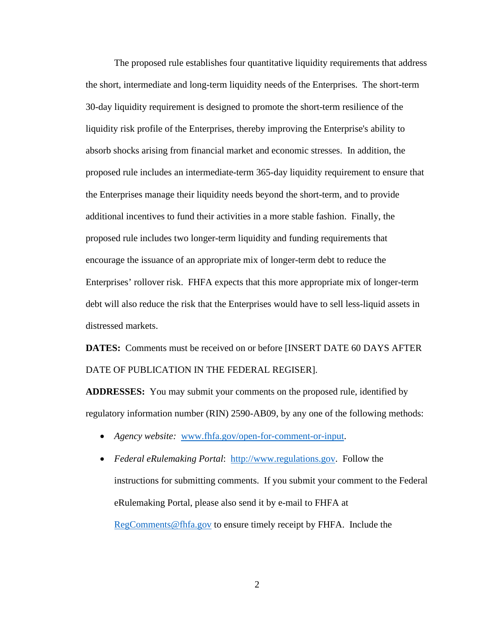The proposed rule establishes four quantitative liquidity requirements that address the short, intermediate and long-term liquidity needs of the Enterprises. The short-term 30-day liquidity requirement is designed to promote the short-term resilience of the liquidity risk profile of the Enterprises, thereby improving the Enterprise's ability to absorb shocks arising from financial market and economic stresses. In addition, the proposed rule includes an intermediate-term 365-day liquidity requirement to ensure that the Enterprises manage their liquidity needs beyond the short-term, and to provide additional incentives to fund their activities in a more stable fashion. Finally, the proposed rule includes two longer-term liquidity and funding requirements that encourage the issuance of an appropriate mix of longer-term debt to reduce the Enterprises' rollover risk. FHFA expects that this more appropriate mix of longer-term debt will also reduce the risk that the Enterprises would have to sell less-liquid assets in distressed markets.

**DATES:** Comments must be received on or before [INSERT DATE 60 DAYS AFTER DATE OF PUBLICATION IN THE FEDERAL REGISER].

**ADDRESSES:** You may submit your comments on the proposed rule, identified by regulatory information number (RIN) 2590-AB09, by any one of the following methods:

- *Agency website:* [www.fhfa.gov/open-for-comment-or-input.](http://www.fhfa.gov/open-for-comment-or-input)
- *Federal eRulemaking Portal*: [http://www.regulations.gov.](http://www.regulations.gov/) Follow the instructions for submitting comments. If you submit your comment to the Federal eRulemaking Portal, please also send it by e-mail to FHFA at [RegComments@fhfa.gov](mailto:RegComments@fhfa.gov) to ensure timely receipt by FHFA. Include the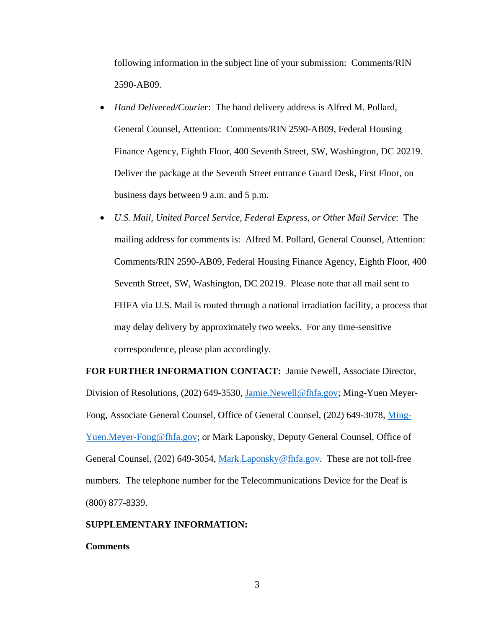following information in the subject line of your submission: Comments/RIN 2590-AB09.

- *Hand Delivered/Courier*: The hand delivery address is Alfred M. Pollard, General Counsel, Attention: Comments/RIN 2590-AB09, Federal Housing Finance Agency, Eighth Floor, 400 Seventh Street, SW, Washington, DC 20219. Deliver the package at the Seventh Street entrance Guard Desk, First Floor, on business days between 9 a.m. and 5 p.m.
- *U.S. Mail, United Parcel Service, Federal Express, or Other Mail Service*: The mailing address for comments is: Alfred M. Pollard, General Counsel, Attention: Comments/RIN 2590-AB09, Federal Housing Finance Agency, Eighth Floor, 400 Seventh Street, SW, Washington, DC 20219. Please note that all mail sent to FHFA via U.S. Mail is routed through a national irradiation facility, a process that may delay delivery by approximately two weeks. For any time-sensitive correspondence, please plan accordingly.

**FOR FURTHER INFORMATION CONTACT:** Jamie Newell, Associate Director, Division of Resolutions, (202) 649-3530, Jamie.Newell@fhfa.gov; Ming-Yuen Meyer-Fong, Associate General Counsel, Office of General Counsel, (202) 649-3078, Ming-Yuen.Meyer-Fong@fhfa.gov; or Mark Laponsky, Deputy General Counsel, Office of General Counsel, (202) 649-3054, [Mark.Laponsky@fhfa.gov.](mailto:Mark.Laponsky@fhfa.gov) These are not toll-free numbers. The telephone number for the Telecommunications Device for the Deaf is (800) 877-8339.

# **SUPPLEMENTARY INFORMATION:**

## **Comments**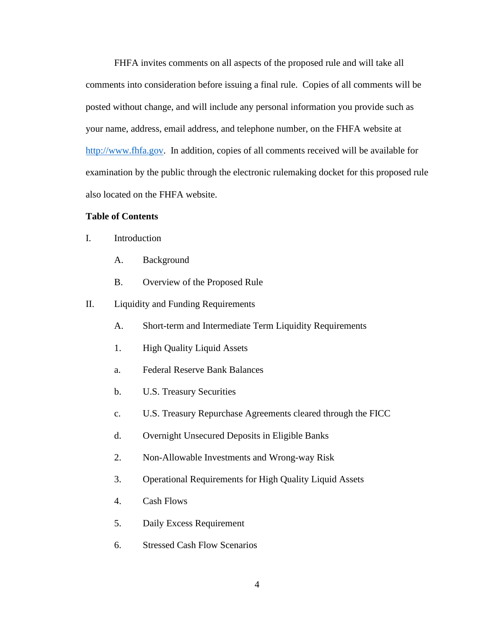FHFA invites comments on all aspects of the proposed rule and will take all comments into consideration before issuing a final rule. Copies of all comments will be posted without change, and will include any personal information you provide such as your name, address, email address, and telephone number, on the FHFA website at [http://www.fhfa.gov.](http://www.fhfa.gov/) In addition, copies of all comments received will be available for examination by the public through the electronic rulemaking docket for this proposed rule also located on the FHFA website.

# **Table of Contents**

- I. Introduction
	- A. Background
	- B. Overview of the Proposed Rule
- II. Liquidity and Funding Requirements
	- A. Short-term and Intermediate Term Liquidity Requirements
	- 1. High Quality Liquid Assets
	- a. Federal Reserve Bank Balances
	- b. U.S. Treasury Securities
	- c. U.S. Treasury Repurchase Agreements cleared through the FICC
	- d. Overnight Unsecured Deposits in Eligible Banks
	- 2. Non-Allowable Investments and Wrong-way Risk
	- 3. Operational Requirements for High Quality Liquid Assets
	- 4. Cash Flows
	- 5. Daily Excess Requirement
	- 6. Stressed Cash Flow Scenarios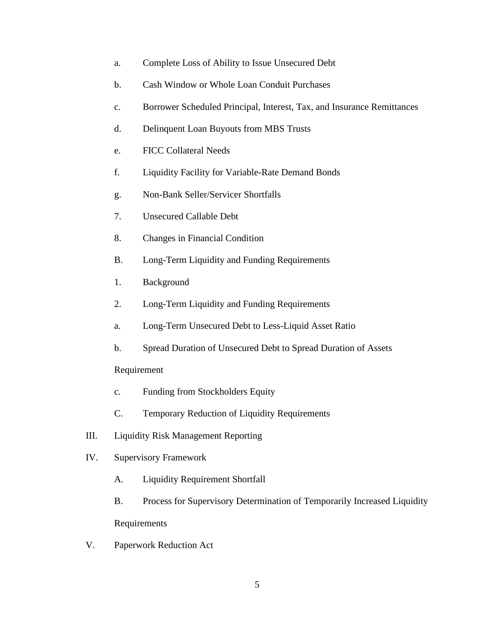- a. Complete Loss of Ability to Issue Unsecured Debt
- b. Cash Window or Whole Loan Conduit Purchases
- c. Borrower Scheduled Principal, Interest, Tax, and Insurance Remittances
- d. Delinquent Loan Buyouts from MBS Trusts
- e. FICC Collateral Needs
- f. Liquidity Facility for Variable-Rate Demand Bonds
- g. Non-Bank Seller/Servicer Shortfalls
- 7. Unsecured Callable Debt
- 8. Changes in Financial Condition
- B. Long-Term Liquidity and Funding Requirements
- 1. Background
- 2. Long-Term Liquidity and Funding Requirements
- a. Long-Term Unsecured Debt to Less-Liquid Asset Ratio
- b. Spread Duration of Unsecured Debt to Spread Duration of Assets

# Requirement

- c. Funding from Stockholders Equity
- C. Temporary Reduction of Liquidity Requirements
- III. Liquidity Risk Management Reporting
- IV. Supervisory Framework
	- A. Liquidity Requirement Shortfall
	- B. Process for Supervisory Determination of Temporarily Increased Liquidity Requirements
- V. Paperwork Reduction Act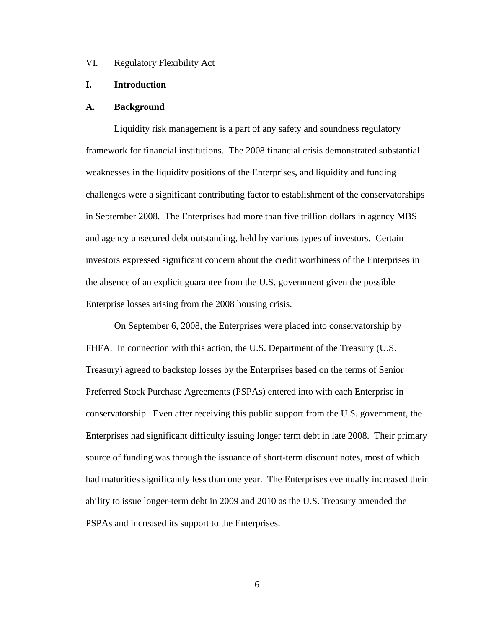VI. Regulatory Flexibility Act

# **I. Introduction**

#### **A. Background**

Liquidity risk management is a part of any safety and soundness regulatory framework for financial institutions. The 2008 financial crisis demonstrated substantial weaknesses in the liquidity positions of the Enterprises, and liquidity and funding challenges were a significant contributing factor to establishment of the conservatorships in September 2008. The Enterprises had more than five trillion dollars in agency MBS and agency unsecured debt outstanding, held by various types of investors. Certain investors expressed significant concern about the credit worthiness of the Enterprises in the absence of an explicit guarantee from the U.S. government given the possible Enterprise losses arising from the 2008 housing crisis.

On September 6, 2008, the Enterprises were placed into conservatorship by FHFA. In connection with this action, the U.S. Department of the Treasury (U.S. Treasury) agreed to backstop losses by the Enterprises based on the terms of Senior Preferred Stock Purchase Agreements (PSPAs) entered into with each Enterprise in conservatorship. Even after receiving this public support from the U.S. government, the Enterprises had significant difficulty issuing longer term debt in late 2008. Their primary source of funding was through the issuance of short-term discount notes, most of which had maturities significantly less than one year. The Enterprises eventually increased their ability to issue longer-term debt in 2009 and 2010 as the U.S. Treasury amended the PSPAs and increased its support to the Enterprises.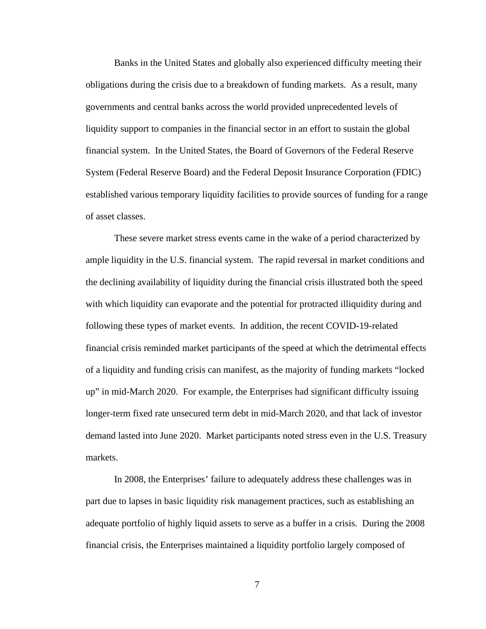Banks in the United States and globally also experienced difficulty meeting their obligations during the crisis due to a breakdown of funding markets. As a result, many governments and central banks across the world provided unprecedented levels of liquidity support to companies in the financial sector in an effort to sustain the global financial system. In the United States, the Board of Governors of the Federal Reserve System (Federal Reserve Board) and the Federal Deposit Insurance Corporation (FDIC) established various temporary liquidity facilities to provide sources of funding for a range of asset classes.

These severe market stress events came in the wake of a period characterized by ample liquidity in the U.S. financial system. The rapid reversal in market conditions and the declining availability of liquidity during the financial crisis illustrated both the speed with which liquidity can evaporate and the potential for protracted illiquidity during and following these types of market events. In addition, the recent COVID-19-related financial crisis reminded market participants of the speed at which the detrimental effects of a liquidity and funding crisis can manifest, as the majority of funding markets "locked up" in mid-March 2020. For example, the Enterprises had significant difficulty issuing longer-term fixed rate unsecured term debt in mid-March 2020, and that lack of investor demand lasted into June 2020. Market participants noted stress even in the U.S. Treasury markets.

In 2008, the Enterprises' failure to adequately address these challenges was in part due to lapses in basic liquidity risk management practices, such as establishing an adequate portfolio of highly liquid assets to serve as a buffer in a crisis. During the 2008 financial crisis, the Enterprises maintained a liquidity portfolio largely composed of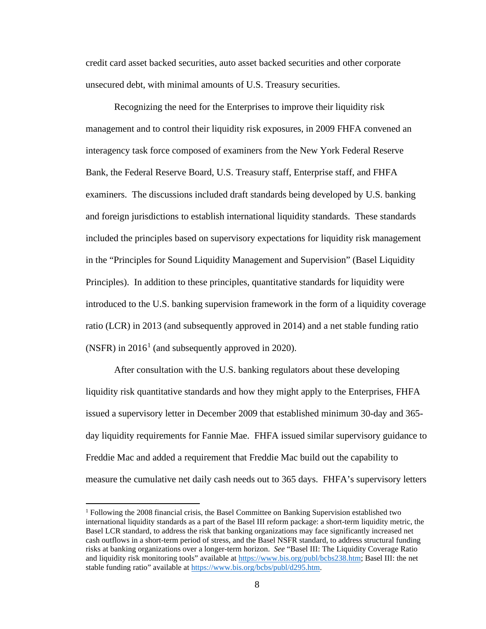credit card asset backed securities, auto asset backed securities and other corporate unsecured debt, with minimal amounts of U.S. Treasury securities.

Recognizing the need for the Enterprises to improve their liquidity risk management and to control their liquidity risk exposures, in 2009 FHFA convened an interagency task force composed of examiners from the New York Federal Reserve Bank, the Federal Reserve Board, U.S. Treasury staff, Enterprise staff, and FHFA examiners. The discussions included draft standards being developed by U.S. banking and foreign jurisdictions to establish international liquidity standards. These standards included the principles based on supervisory expectations for liquidity risk management in the "Principles for Sound Liquidity Management and Supervision" (Basel Liquidity Principles). In addition to these principles, quantitative standards for liquidity were introduced to the U.S. banking supervision framework in the form of a liquidity coverage ratio (LCR) in 2013 (and subsequently approved in 2014) and a net stable funding ratio (NSFR) in  $2016<sup>1</sup>$  $2016<sup>1</sup>$  $2016<sup>1</sup>$  (and subsequently approved in 2020).

After consultation with the U.S. banking regulators about these developing liquidity risk quantitative standards and how they might apply to the Enterprises, FHFA issued a supervisory letter in December 2009 that established minimum 30-day and 365 day liquidity requirements for Fannie Mae. FHFA issued similar supervisory guidance to Freddie Mac and added a requirement that Freddie Mac build out the capability to measure the cumulative net daily cash needs out to 365 days. FHFA's supervisory letters

<span id="page-7-0"></span><sup>1</sup> Following the 2008 financial crisis, the Basel Committee on Banking Supervision established two international liquidity standards as a part of the Basel III reform package: a short-term liquidity metric, the Basel LCR standard, to address the risk that banking organizations may face significantly increased net cash outflows in a short-term period of stress, and the Basel NSFR standard, to address structural funding risks at banking organizations over a longer-term horizon. *See* "Basel III: The Liquidity Coverage Ratio and liquidity risk monitoring tools" available a[t https://www.bis.org/publ/bcbs238.htm;](https://www.bis.org/publ/bcbs238.htm) Basel III: the net stable funding ratio" available at [https://www.bis.org/bcbs/publ/d295.htm.](https://www.bis.org/bcbs/publ/d295.htm)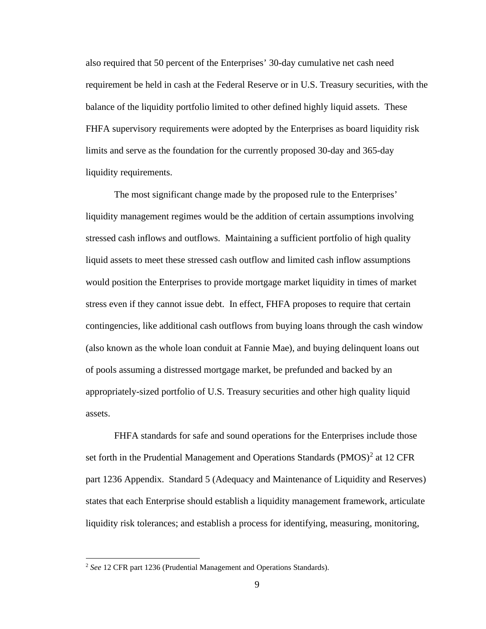also required that 50 percent of the Enterprises' 30-day cumulative net cash need requirement be held in cash at the Federal Reserve or in U.S. Treasury securities, with the balance of the liquidity portfolio limited to other defined highly liquid assets. These FHFA supervisory requirements were adopted by the Enterprises as board liquidity risk limits and serve as the foundation for the currently proposed 30-day and 365-day liquidity requirements.

The most significant change made by the proposed rule to the Enterprises' liquidity management regimes would be the addition of certain assumptions involving stressed cash inflows and outflows. Maintaining a sufficient portfolio of high quality liquid assets to meet these stressed cash outflow and limited cash inflow assumptions would position the Enterprises to provide mortgage market liquidity in times of market stress even if they cannot issue debt. In effect, FHFA proposes to require that certain contingencies, like additional cash outflows from buying loans through the cash window (also known as the whole loan conduit at Fannie Mae), and buying delinquent loans out of pools assuming a distressed mortgage market, be prefunded and backed by an appropriately-sized portfolio of U.S. Treasury securities and other high quality liquid assets.

FHFA standards for safe and sound operations for the Enterprises include those set forth in the Prudential Management and Operations Standards  $(PMOS)^2$  $(PMOS)^2$  at 12 CFR part 1236 Appendix. Standard 5 (Adequacy and Maintenance of Liquidity and Reserves) states that each Enterprise should establish a liquidity management framework, articulate liquidity risk tolerances; and establish a process for identifying, measuring, monitoring,

<span id="page-8-0"></span><sup>2</sup> *See* 12 CFR part 1236 (Prudential Management and Operations Standards).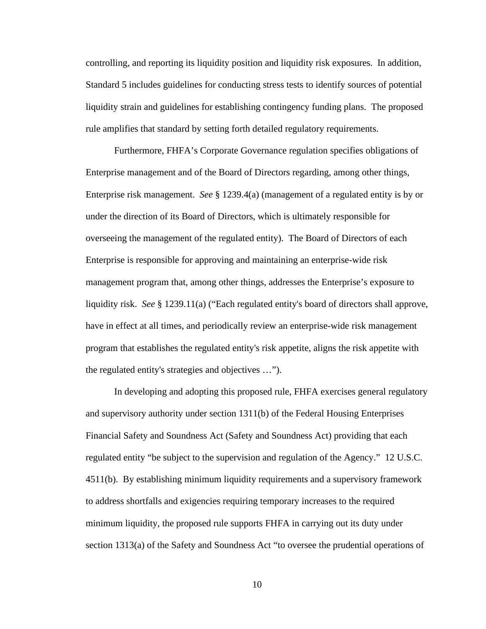controlling, and reporting its liquidity position and liquidity risk exposures. In addition, Standard 5 includes guidelines for conducting stress tests to identify sources of potential liquidity strain and guidelines for establishing contingency funding plans. The proposed rule amplifies that standard by setting forth detailed regulatory requirements.

Furthermore, FHFA's Corporate Governance regulation specifies obligations of Enterprise management and of the Board of Directors regarding, among other things, Enterprise risk management. *See* § 1239.4(a) (management of a regulated entity is by or under the direction of its Board of Directors, which is ultimately responsible for overseeing the management of the regulated entity). The Board of Directors of each Enterprise is responsible for approving and maintaining an enterprise-wide risk management program that, among other things, addresses the Enterprise's exposure to liquidity risk. *See* § 1239.11(a) ("Each regulated entity's board of directors shall approve, have in effect at all times, and periodically review an enterprise-wide risk management program that establishes the regulated entity's risk appetite, aligns the risk appetite with the regulated entity's strategies and objectives …").

In developing and adopting this proposed rule, FHFA exercises general regulatory and supervisory authority under section 1311(b) of the Federal Housing Enterprises Financial Safety and Soundness Act (Safety and Soundness Act) providing that each regulated entity "be subject to the supervision and regulation of the Agency." 12 U.S.C. 4511(b). By establishing minimum liquidity requirements and a supervisory framework to address shortfalls and exigencies requiring temporary increases to the required minimum liquidity, the proposed rule supports FHFA in carrying out its duty under section 1313(a) of the Safety and Soundness Act "to oversee the prudential operations of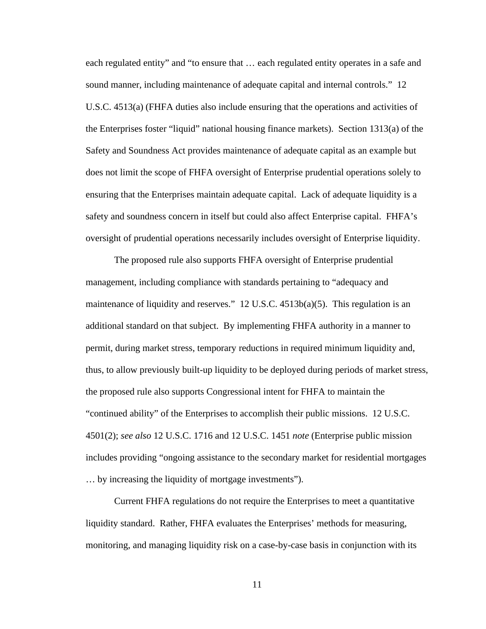each regulated entity" and "to ensure that … each regulated entity operates in a safe and sound manner, including maintenance of adequate capital and internal controls." 12 U.S.C. 4513(a) (FHFA duties also include ensuring that the operations and activities of the Enterprises foster "liquid" national housing finance markets). Section 1313(a) of the Safety and Soundness Act provides maintenance of adequate capital as an example but does not limit the scope of FHFA oversight of Enterprise prudential operations solely to ensuring that the Enterprises maintain adequate capital. Lack of adequate liquidity is a safety and soundness concern in itself but could also affect Enterprise capital. FHFA's oversight of prudential operations necessarily includes oversight of Enterprise liquidity.

The proposed rule also supports FHFA oversight of Enterprise prudential management, including compliance with standards pertaining to "adequacy and maintenance of liquidity and reserves." 12 U.S.C. 4513b(a)(5). This regulation is an additional standard on that subject. By implementing FHFA authority in a manner to permit, during market stress, temporary reductions in required minimum liquidity and, thus, to allow previously built-up liquidity to be deployed during periods of market stress, the proposed rule also supports Congressional intent for FHFA to maintain the "continued ability" of the Enterprises to accomplish their public missions. 12 U.S.C. 4501(2); *see also* 12 U.S.C. 1716 and 12 U.S.C. 1451 *note* (Enterprise public mission includes providing "ongoing assistance to the secondary market for residential mortgages … by increasing the liquidity of mortgage investments").

Current FHFA regulations do not require the Enterprises to meet a quantitative liquidity standard. Rather, FHFA evaluates the Enterprises' methods for measuring, monitoring, and managing liquidity risk on a case-by-case basis in conjunction with its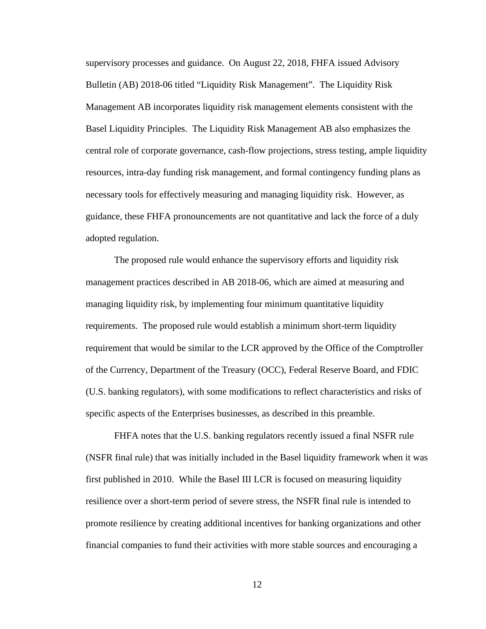supervisory processes and guidance. On August 22, 2018, FHFA issued Advisory Bulletin (AB) 2018-06 titled "Liquidity Risk Management". The Liquidity Risk Management AB incorporates liquidity risk management elements consistent with the Basel Liquidity Principles. The Liquidity Risk Management AB also emphasizes the central role of corporate governance, cash-flow projections, stress testing, ample liquidity resources, intra-day funding risk management, and formal contingency funding plans as necessary tools for effectively measuring and managing liquidity risk. However, as guidance, these FHFA pronouncements are not quantitative and lack the force of a duly adopted regulation.

The proposed rule would enhance the supervisory efforts and liquidity risk management practices described in AB 2018-06, which are aimed at measuring and managing liquidity risk, by implementing four minimum quantitative liquidity requirements. The proposed rule would establish a minimum short-term liquidity requirement that would be similar to the LCR approved by the Office of the Comptroller of the Currency, Department of the Treasury (OCC), Federal Reserve Board, and FDIC (U.S. banking regulators), with some modifications to reflect characteristics and risks of specific aspects of the Enterprises businesses, as described in this preamble.

FHFA notes that the U.S. banking regulators recently issued a final NSFR rule (NSFR final rule) that was initially included in the Basel liquidity framework when it was first published in 2010. While the Basel III LCR is focused on measuring liquidity resilience over a short-term period of severe stress, the NSFR final rule is intended to promote resilience by creating additional incentives for banking organizations and other financial companies to fund their activities with more stable sources and encouraging a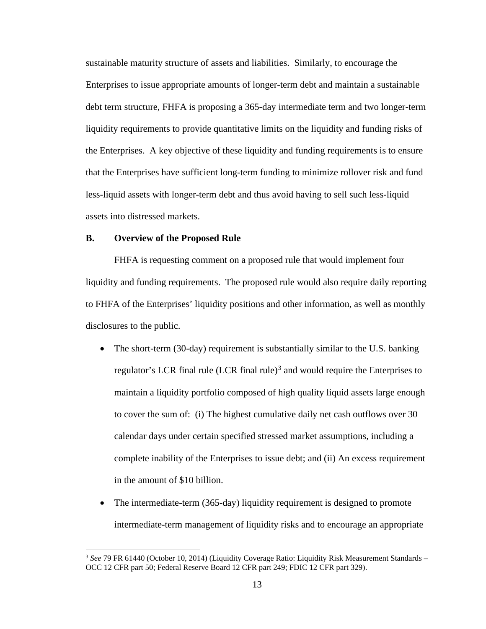sustainable maturity structure of assets and liabilities. Similarly, to encourage the Enterprises to issue appropriate amounts of longer-term debt and maintain a sustainable debt term structure, FHFA is proposing a 365-day intermediate term and two longer-term liquidity requirements to provide quantitative limits on the liquidity and funding risks of the Enterprises. A key objective of these liquidity and funding requirements is to ensure that the Enterprises have sufficient long-term funding to minimize rollover risk and fund less-liquid assets with longer-term debt and thus avoid having to sell such less-liquid assets into distressed markets.

# **B. Overview of the Proposed Rule**

FHFA is requesting comment on a proposed rule that would implement four liquidity and funding requirements. The proposed rule would also require daily reporting to FHFA of the Enterprises' liquidity positions and other information, as well as monthly disclosures to the public.

- The short-term (30-day) requirement is substantially similar to the U.S. banking regulator's LCR final rule  $(LCR$  final rule)<sup>[3](#page-12-0)</sup> and would require the Enterprises to maintain a liquidity portfolio composed of high quality liquid assets large enough to cover the sum of: (i) The highest cumulative daily net cash outflows over 30 calendar days under certain specified stressed market assumptions, including a complete inability of the Enterprises to issue debt; and (ii) An excess requirement in the amount of \$10 billion.
- The intermediate-term (365-day) liquidity requirement is designed to promote intermediate-term management of liquidity risks and to encourage an appropriate

<span id="page-12-0"></span><sup>&</sup>lt;sup>3</sup> See 79 FR 61440 (October 10, 2014) (Liquidity Coverage Ratio: Liquidity Risk Measurement Standards – OCC 12 CFR part 50; Federal Reserve Board 12 CFR part 249; FDIC 12 CFR part 329).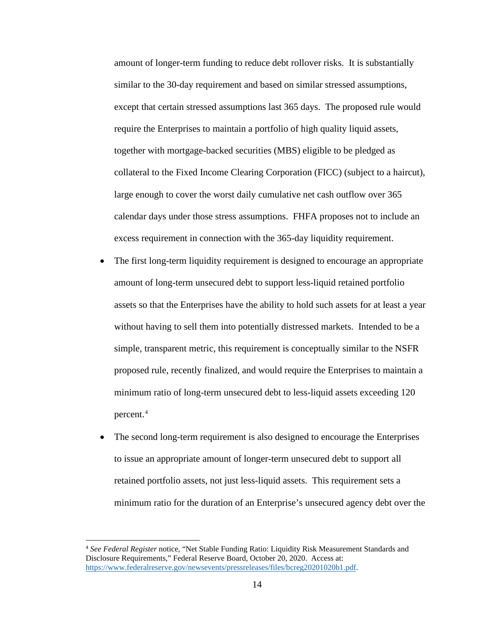amount of longer-term funding to reduce debt rollover risks. It is substantially similar to the 30-day requirement and based on similar stressed assumptions, except that certain stressed assumptions last 365 days. The proposed rule would require the Enterprises to maintain a portfolio of high quality liquid assets, together with mortgage-backed securities (MBS) eligible to be pledged as collateral to the Fixed Income Clearing Corporation (FICC) (subject to a haircut), large enough to cover the worst daily cumulative net cash outflow over 365 calendar days under those stress assumptions. FHFA proposes not to include an excess requirement in connection with the 365-day liquidity requirement.

- The first long-term liquidity requirement is designed to encourage an appropriate amount of long-term unsecured debt to support less-liquid retained portfolio assets so that the Enterprises have the ability to hold such assets for at least a year without having to sell them into potentially distressed markets. Intended to be a simple, transparent metric, this requirement is conceptually similar to the NSFR proposed rule, recently finalized, and would require the Enterprises to maintain a minimum ratio of long-term unsecured debt to less-liquid assets exceeding 120 percent.[4](#page-13-0)
- The second long-term requirement is also designed to encourage the Enterprises to issue an appropriate amount of longer-term unsecured debt to support all retained portfolio assets, not just less-liquid assets. This requirement sets a minimum ratio for the duration of an Enterprise's unsecured agency debt over the

<span id="page-13-0"></span><sup>4</sup> *See Federal Register* notice, "Net Stable Funding Ratio: Liquidity Risk Measurement Standards and Disclosure Requirements," Federal Reserve Board, October 20, 2020. Access at: [https://www.federalreserve.gov/newsevents/pressreleases/files/bcreg20201020b1.pdf.](https://www.federalreserve.gov/newsevents/pressreleases/files/bcreg20201020b1.pdf)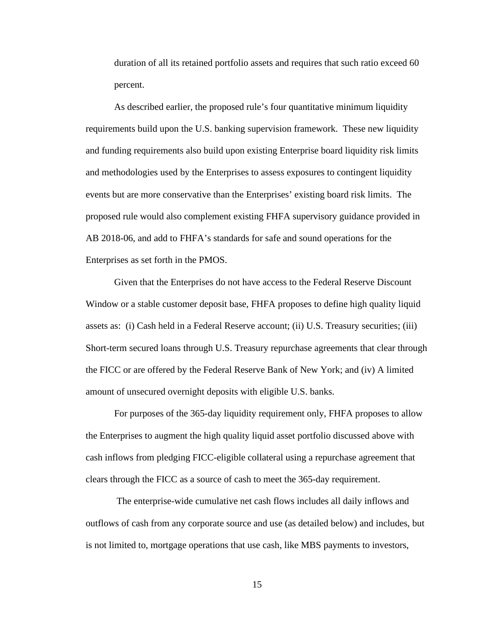duration of all its retained portfolio assets and requires that such ratio exceed 60 percent.

As described earlier, the proposed rule's four quantitative minimum liquidity requirements build upon the U.S. banking supervision framework. These new liquidity and funding requirements also build upon existing Enterprise board liquidity risk limits and methodologies used by the Enterprises to assess exposures to contingent liquidity events but are more conservative than the Enterprises' existing board risk limits.The proposed rule would also complement existing FHFA supervisory guidance provided in AB 2018-06, and add to FHFA's standards for safe and sound operations for the Enterprises as set forth in the PMOS.

Given that the Enterprises do not have access to the Federal Reserve Discount Window or a stable customer deposit base, FHFA proposes to define high quality liquid assets as: (i) Cash held in a Federal Reserve account; (ii) U.S. Treasury securities; (iii) Short-term secured loans through U.S. Treasury repurchase agreements that clear through the FICC or are offered by the Federal Reserve Bank of New York; and (iv) A limited amount of unsecured overnight deposits with eligible U.S. banks.

For purposes of the 365-day liquidity requirement only, FHFA proposes to allow the Enterprises to augment the high quality liquid asset portfolio discussed above with cash inflows from pledging FICC-eligible collateral using a repurchase agreement that clears through the FICC as a source of cash to meet the 365-day requirement.

The enterprise-wide cumulative net cash flows includes all daily inflows and outflows of cash from any corporate source and use (as detailed below) and includes, but is not limited to, mortgage operations that use cash, like MBS payments to investors,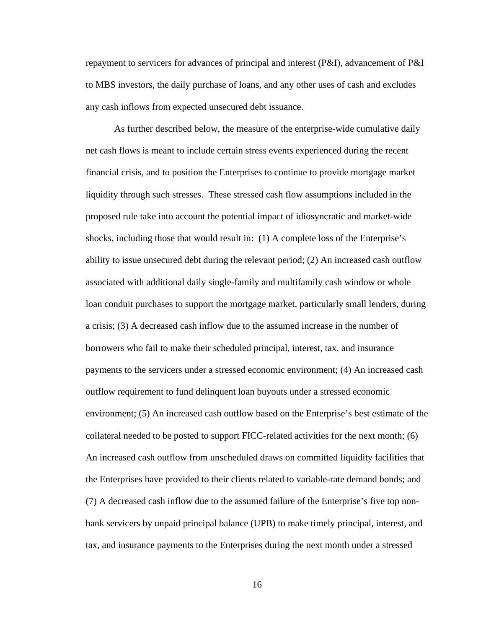repayment to servicers for advances of principal and interest (P&I), advancement of P&I to MBS investors, the daily purchase of loans, and any other uses of cash and excludes any cash inflows from expected unsecured debt issuance.

As further described below, the measure of the enterprise-wide cumulative daily net cash flows is meant to include certain stress events experienced during the recent financial crisis, and to position the Enterprises to continue to provide mortgage market liquidity through such stresses. These stressed cash flow assumptions included in the proposed rule take into account the potential impact of idiosyncratic and market-wide shocks, including those that would result in: (1) A complete loss of the Enterprise's ability to issue unsecured debt during the relevant period; (2) An increased cash outflow associated with additional daily single-family and multifamily cash window or whole loan conduit purchases to support the mortgage market, particularly small lenders, during a crisis; (3) A decreased cash inflow due to the assumed increase in the number of borrowers who fail to make their scheduled principal, interest, tax, and insurance payments to the servicers under a stressed economic environment; (4) An increased cash outflow requirement to fund delinquent loan buyouts under a stressed economic environment; (5) An increased cash outflow based on the Enterprise's best estimate of the collateral needed to be posted to support FICC-related activities for the next month; (6) An increased cash outflow from unscheduled draws on committed liquidity facilities that the Enterprises have provided to their clients related to variable-rate demand bonds; and (7) A decreased cash inflow due to the assumed failure of the Enterprise's five top nonbank servicers by unpaid principal balance (UPB) to make timely principal, interest, and tax, and insurance payments to the Enterprises during the next month under a stressed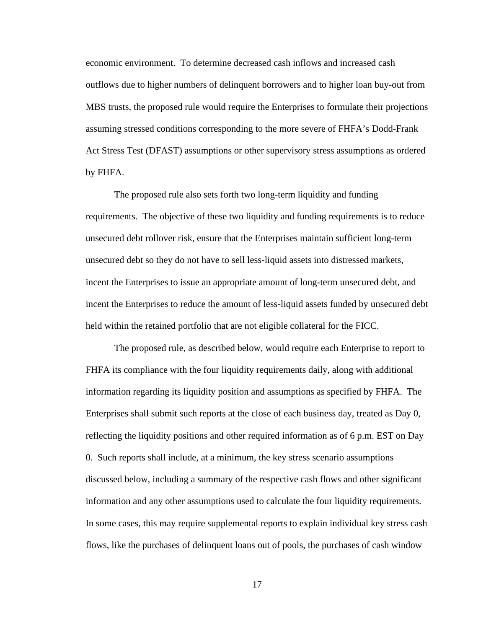economic environment. To determine decreased cash inflows and increased cash outflows due to higher numbers of delinquent borrowers and to higher loan buy-out from MBS trusts, the proposed rule would require the Enterprises to formulate their projections assuming stressed conditions corresponding to the more severe of FHFA's Dodd-Frank Act Stress Test (DFAST) assumptions or other supervisory stress assumptions as ordered by FHFA.

The proposed rule also sets forth two long-term liquidity and funding requirements. The objective of these two liquidity and funding requirements is to reduce unsecured debt rollover risk, ensure that the Enterprises maintain sufficient long-term unsecured debt so they do not have to sell less-liquid assets into distressed markets, incent the Enterprises to issue an appropriate amount of long-term unsecured debt, and incent the Enterprises to reduce the amount of less-liquid assets funded by unsecured debt held within the retained portfolio that are not eligible collateral for the FICC.

The proposed rule, as described below, would require each Enterprise to report to FHFA its compliance with the four liquidity requirements daily, along with additional information regarding its liquidity position and assumptions as specified by FHFA. The Enterprises shall submit such reports at the close of each business day, treated as Day 0, reflecting the liquidity positions and other required information as of 6 p.m. EST on Day 0. Such reports shall include, at a minimum, the key stress scenario assumptions discussed below, including a summary of the respective cash flows and other significant information and any other assumptions used to calculate the four liquidity requirements. In some cases, this may require supplemental reports to explain individual key stress cash flows, like the purchases of delinquent loans out of pools, the purchases of cash window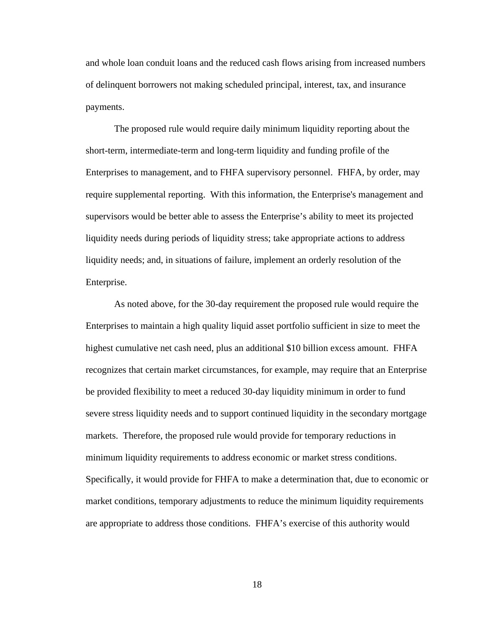and whole loan conduit loans and the reduced cash flows arising from increased numbers of delinquent borrowers not making scheduled principal, interest, tax, and insurance payments.

The proposed rule would require daily minimum liquidity reporting about the short-term, intermediate-term and long-term liquidity and funding profile of the Enterprises to management, and to FHFA supervisory personnel. FHFA, by order, may require supplemental reporting. With this information, the Enterprise's management and supervisors would be better able to assess the Enterprise's ability to meet its projected liquidity needs during periods of liquidity stress; take appropriate actions to address liquidity needs; and, in situations of failure, implement an orderly resolution of the Enterprise.

As noted above, for the 30-day requirement the proposed rule would require the Enterprises to maintain a high quality liquid asset portfolio sufficient in size to meet the highest cumulative net cash need, plus an additional \$10 billion excess amount. FHFA recognizes that certain market circumstances, for example, may require that an Enterprise be provided flexibility to meet a reduced 30-day liquidity minimum in order to fund severe stress liquidity needs and to support continued liquidity in the secondary mortgage markets. Therefore, the proposed rule would provide for temporary reductions in minimum liquidity requirements to address economic or market stress conditions. Specifically, it would provide for FHFA to make a determination that, due to economic or market conditions, temporary adjustments to reduce the minimum liquidity requirements are appropriate to address those conditions. FHFA's exercise of this authority would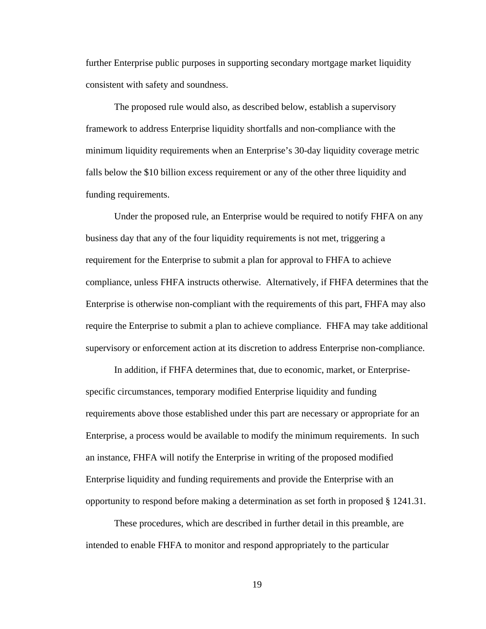further Enterprise public purposes in supporting secondary mortgage market liquidity consistent with safety and soundness.

The proposed rule would also, as described below, establish a supervisory framework to address Enterprise liquidity shortfalls and non-compliance with the minimum liquidity requirements when an Enterprise's 30-day liquidity coverage metric falls below the \$10 billion excess requirement or any of the other three liquidity and funding requirements.

Under the proposed rule, an Enterprise would be required to notify FHFA on any business day that any of the four liquidity requirements is not met, triggering a requirement for the Enterprise to submit a plan for approval to FHFA to achieve compliance, unless FHFA instructs otherwise. Alternatively, if FHFA determines that the Enterprise is otherwise non-compliant with the requirements of this part, FHFA may also require the Enterprise to submit a plan to achieve compliance. FHFA may take additional supervisory or enforcement action at its discretion to address Enterprise non-compliance.

In addition, if FHFA determines that, due to economic, market, or Enterprisespecific circumstances, temporary modified Enterprise liquidity and funding requirements above those established under this part are necessary or appropriate for an Enterprise, a process would be available to modify the minimum requirements. In such an instance, FHFA will notify the Enterprise in writing of the proposed modified Enterprise liquidity and funding requirements and provide the Enterprise with an opportunity to respond before making a determination as set forth in proposed § 1241.31.

These procedures, which are described in further detail in this preamble, are intended to enable FHFA to monitor and respond appropriately to the particular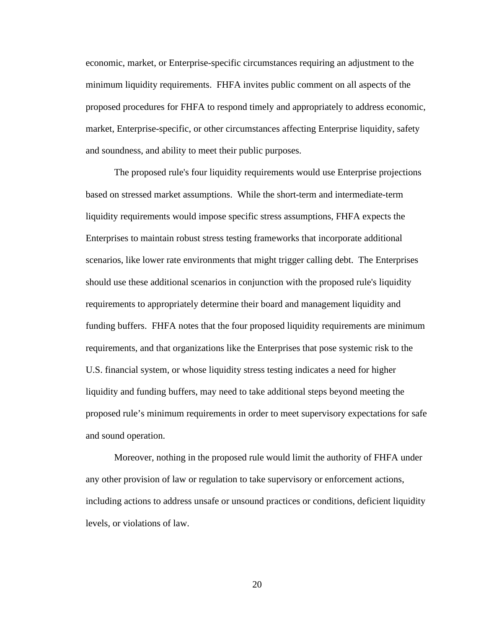economic, market, or Enterprise-specific circumstances requiring an adjustment to the minimum liquidity requirements. FHFA invites public comment on all aspects of the proposed procedures for FHFA to respond timely and appropriately to address economic, market, Enterprise-specific, or other circumstances affecting Enterprise liquidity, safety and soundness, and ability to meet their public purposes.

The proposed rule's four liquidity requirements would use Enterprise projections based on stressed market assumptions. While the short-term and intermediate-term liquidity requirements would impose specific stress assumptions, FHFA expects the Enterprises to maintain robust stress testing frameworks that incorporate additional scenarios, like lower rate environments that might trigger calling debt. The Enterprises should use these additional scenarios in conjunction with the proposed rule's liquidity requirements to appropriately determine their board and management liquidity and funding buffers. FHFA notes that the four proposed liquidity requirements are minimum requirements, and that organizations like the Enterprises that pose systemic risk to the U.S. financial system, or whose liquidity stress testing indicates a need for higher liquidity and funding buffers, may need to take additional steps beyond meeting the proposed rule's minimum requirements in order to meet supervisory expectations for safe and sound operation.

Moreover, nothing in the proposed rule would limit the authority of FHFA under any other provision of law or regulation to take supervisory or enforcement actions, including actions to address unsafe or unsound practices or conditions, deficient liquidity levels, or violations of law.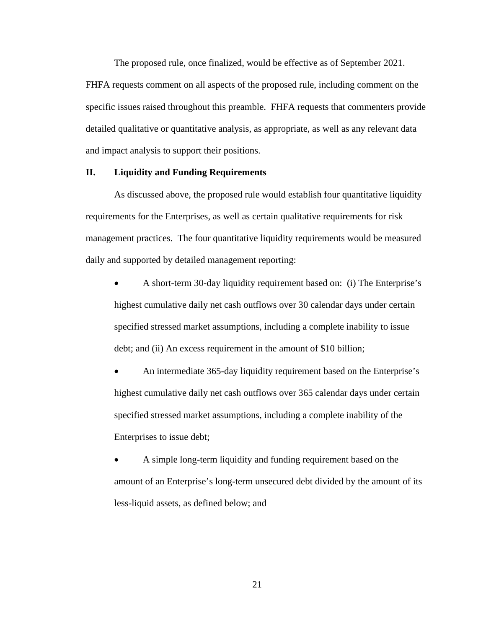The proposed rule, once finalized, would be effective as of September 2021. FHFA requests comment on all aspects of the proposed rule, including comment on the specific issues raised throughout this preamble. FHFA requests that commenters provide detailed qualitative or quantitative analysis, as appropriate, as well as any relevant data and impact analysis to support their positions.

# **II. Liquidity and Funding Requirements**

As discussed above, the proposed rule would establish four quantitative liquidity requirements for the Enterprises, as well as certain qualitative requirements for risk management practices. The four quantitative liquidity requirements would be measured daily and supported by detailed management reporting:

• A short-term 30-day liquidity requirement based on: (i) The Enterprise's highest cumulative daily net cash outflows over 30 calendar days under certain specified stressed market assumptions, including a complete inability to issue debt; and (ii) An excess requirement in the amount of \$10 billion;

• An intermediate 365-day liquidity requirement based on the Enterprise's highest cumulative daily net cash outflows over 365 calendar days under certain specified stressed market assumptions, including a complete inability of the Enterprises to issue debt;

• A simple long-term liquidity and funding requirement based on the amount of an Enterprise's long-term unsecured debt divided by the amount of its less-liquid assets, as defined below; and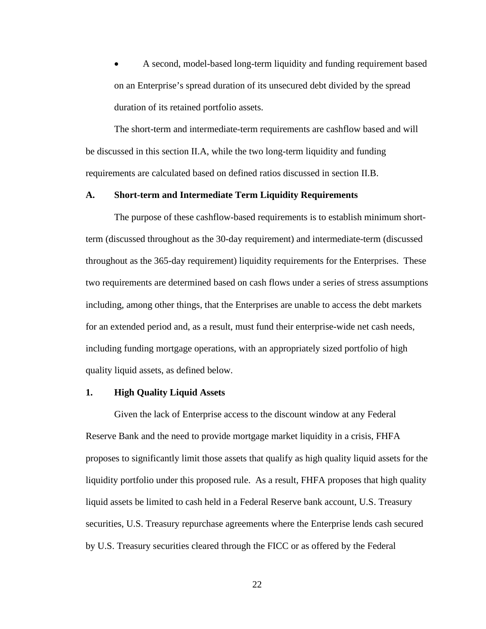• A second, model-based long-term liquidity and funding requirement based on an Enterprise's spread duration of its unsecured debt divided by the spread duration of its retained portfolio assets.

The short-term and intermediate-term requirements are cashflow based and will be discussed in this section II.A, while the two long-term liquidity and funding requirements are calculated based on defined ratios discussed in section II.B.

#### **A. Short-term and Intermediate Term Liquidity Requirements**

The purpose of these cashflow-based requirements is to establish minimum shortterm (discussed throughout as the 30-day requirement) and intermediate-term (discussed throughout as the 365-day requirement) liquidity requirements for the Enterprises. These two requirements are determined based on cash flows under a series of stress assumptions including, among other things, that the Enterprises are unable to access the debt markets for an extended period and, as a result, must fund their enterprise-wide net cash needs, including funding mortgage operations, with an appropriately sized portfolio of high quality liquid assets, as defined below.

# **1. High Quality Liquid Assets**

Given the lack of Enterprise access to the discount window at any Federal Reserve Bank and the need to provide mortgage market liquidity in a crisis, FHFA proposes to significantly limit those assets that qualify as high quality liquid assets for the liquidity portfolio under this proposed rule. As a result, FHFA proposes that high quality liquid assets be limited to cash held in a Federal Reserve bank account, U.S. Treasury securities, U.S. Treasury repurchase agreements where the Enterprise lends cash secured by U.S. Treasury securities cleared through the FICC or as offered by the Federal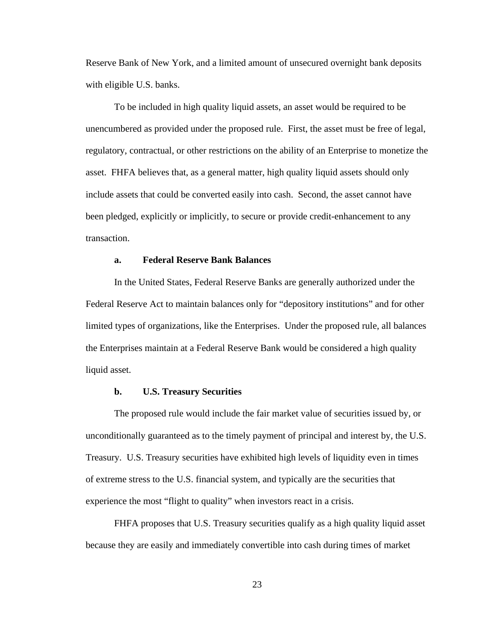Reserve Bank of New York, and a limited amount of unsecured overnight bank deposits with eligible U.S. banks.

To be included in high quality liquid assets, an asset would be required to be unencumbered as provided under the proposed rule. First, the asset must be free of legal, regulatory, contractual, or other restrictions on the ability of an Enterprise to monetize the asset. FHFA believes that, as a general matter, high quality liquid assets should only include assets that could be converted easily into cash. Second, the asset cannot have been pledged, explicitly or implicitly, to secure or provide credit-enhancement to any transaction.

# **a. Federal Reserve Bank Balances**

In the United States, Federal Reserve Banks are generally authorized under the Federal Reserve Act to maintain balances only for "depository institutions" and for other limited types of organizations, like the Enterprises. Under the proposed rule, all balances the Enterprises maintain at a Federal Reserve Bank would be considered a high quality liquid asset.

#### **b. U.S. Treasury Securities**

The proposed rule would include the fair market value of securities issued by, or unconditionally guaranteed as to the timely payment of principal and interest by, the U.S. Treasury. U.S. Treasury securities have exhibited high levels of liquidity even in times of extreme stress to the U.S. financial system, and typically are the securities that experience the most "flight to quality" when investors react in a crisis.

FHFA proposes that U.S. Treasury securities qualify as a high quality liquid asset because they are easily and immediately convertible into cash during times of market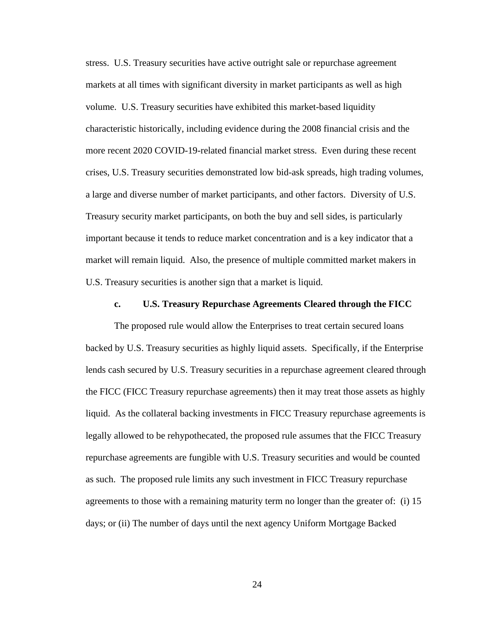stress. U.S. Treasury securities have active outright sale or repurchase agreement markets at all times with significant diversity in market participants as well as high volume. U.S. Treasury securities have exhibited this market-based liquidity characteristic historically, including evidence during the 2008 financial crisis and the more recent 2020 COVID-19-related financial market stress. Even during these recent crises, U.S. Treasury securities demonstrated low bid-ask spreads, high trading volumes, a large and diverse number of market participants, and other factors. Diversity of U.S. Treasury security market participants, on both the buy and sell sides, is particularly important because it tends to reduce market concentration and is a key indicator that a market will remain liquid. Also, the presence of multiple committed market makers in U.S. Treasury securities is another sign that a market is liquid.

#### **c. U.S. Treasury Repurchase Agreements Cleared through the FICC**

The proposed rule would allow the Enterprises to treat certain secured loans backed by U.S. Treasury securities as highly liquid assets. Specifically, if the Enterprise lends cash secured by U.S. Treasury securities in a repurchase agreement cleared through the FICC (FICC Treasury repurchase agreements) then it may treat those assets as highly liquid. As the collateral backing investments in FICC Treasury repurchase agreements is legally allowed to be rehypothecated, the proposed rule assumes that the FICC Treasury repurchase agreements are fungible with U.S. Treasury securities and would be counted as such. The proposed rule limits any such investment in FICC Treasury repurchase agreements to those with a remaining maturity term no longer than the greater of: (i) 15 days; or (ii) The number of days until the next agency Uniform Mortgage Backed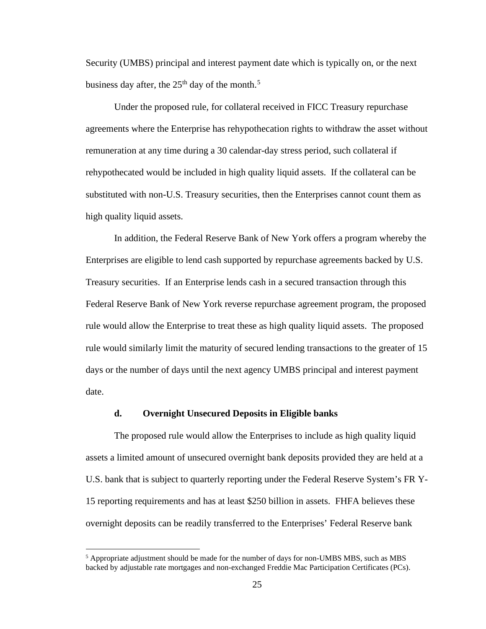Security (UMBS) principal and interest payment date which is typically on, or the next business day after, the  $25<sup>th</sup>$  $25<sup>th</sup>$  $25<sup>th</sup>$  day of the month.<sup>5</sup>

Under the proposed rule, for collateral received in FICC Treasury repurchase agreements where the Enterprise has rehypothecation rights to withdraw the asset without remuneration at any time during a 30 calendar-day stress period, such collateral if rehypothecated would be included in high quality liquid assets. If the collateral can be substituted with non-U.S. Treasury securities, then the Enterprises cannot count them as high quality liquid assets.

In addition, the Federal Reserve Bank of New York offers a program whereby the Enterprises are eligible to lend cash supported by repurchase agreements backed by U.S. Treasury securities. If an Enterprise lends cash in a secured transaction through this Federal Reserve Bank of New York reverse repurchase agreement program, the proposed rule would allow the Enterprise to treat these as high quality liquid assets. The proposed rule would similarly limit the maturity of secured lending transactions to the greater of 15 days or the number of days until the next agency UMBS principal and interest payment date.

# **d. Overnight Unsecured Deposits in Eligible banks**

The proposed rule would allow the Enterprises to include as high quality liquid assets a limited amount of unsecured overnight bank deposits provided they are held at a U.S. bank that is subject to quarterly reporting under the Federal Reserve System's FR Y-15 reporting requirements and has at least \$250 billion in assets. FHFA believes these overnight deposits can be readily transferred to the Enterprises' Federal Reserve bank

<span id="page-24-0"></span><sup>5</sup> Appropriate adjustment should be made for the number of days for non-UMBS MBS, such as MBS backed by adjustable rate mortgages and non-exchanged Freddie Mac Participation Certificates (PCs).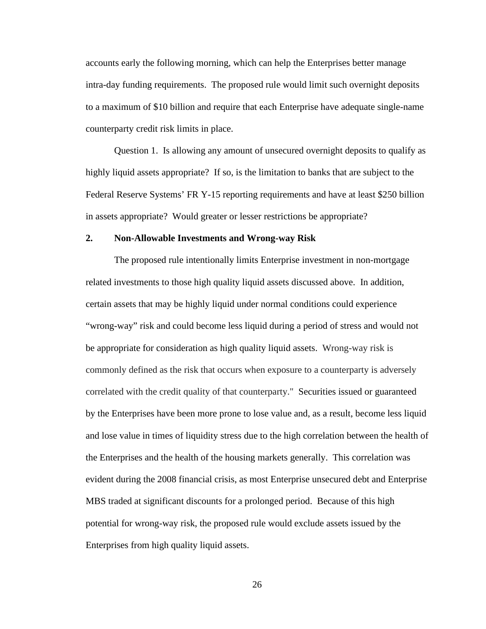accounts early the following morning, which can help the Enterprises better manage intra-day funding requirements. The proposed rule would limit such overnight deposits to a maximum of \$10 billion and require that each Enterprise have adequate single-name counterparty credit risk limits in place.

Question 1. Is allowing any amount of unsecured overnight deposits to qualify as highly liquid assets appropriate? If so, is the limitation to banks that are subject to the Federal Reserve Systems' FR Y-15 reporting requirements and have at least \$250 billion in assets appropriate? Would greater or lesser restrictions be appropriate?

#### **2. Non-Allowable Investments and Wrong-way Risk**

The proposed rule intentionally limits Enterprise investment in non-mortgage related investments to those high quality liquid assets discussed above. In addition, certain assets that may be highly liquid under normal conditions could experience "wrong-way" risk and could become less liquid during a period of stress and would not be appropriate for consideration as high quality liquid assets. Wrong-way risk is commonly defined as the risk that occurs when exposure to a counterparty is adversely correlated with the credit quality of that counterparty." Securities issued or guaranteed by the Enterprises have been more prone to lose value and, as a result, become less liquid and lose value in times of liquidity stress due to the high correlation between the health of the Enterprises and the health of the housing markets generally. This correlation was evident during the 2008 financial crisis, as most Enterprise unsecured debt and Enterprise MBS traded at significant discounts for a prolonged period. Because of this high potential for wrong-way risk, the proposed rule would exclude assets issued by the Enterprises from high quality liquid assets.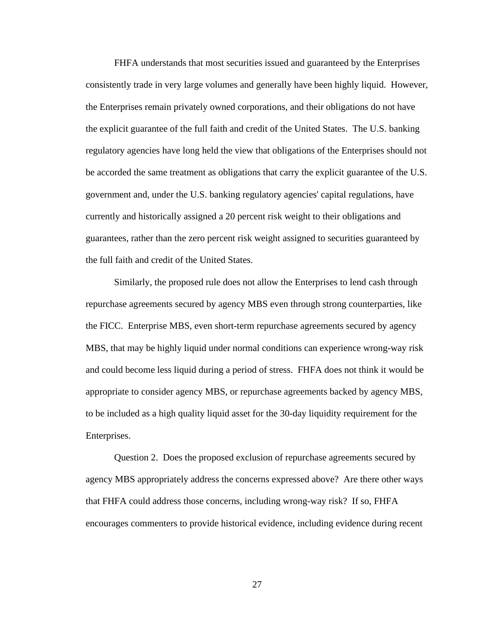FHFA understands that most securities issued and guaranteed by the Enterprises consistently trade in very large volumes and generally have been highly liquid. However, the Enterprises remain privately owned corporations, and their obligations do not have the explicit guarantee of the full faith and credit of the United States. The U.S. banking regulatory agencies have long held the view that obligations of the Enterprises should not be accorded the same treatment as obligations that carry the explicit guarantee of the U.S. government and, under the U.S. banking regulatory agencies' capital regulations, have currently and historically assigned a 20 percent risk weight to their obligations and guarantees, rather than the zero percent risk weight assigned to securities guaranteed by the full faith and credit of the United States.

Similarly, the proposed rule does not allow the Enterprises to lend cash through repurchase agreements secured by agency MBS even through strong counterparties, like the FICC. Enterprise MBS, even short-term repurchase agreements secured by agency MBS, that may be highly liquid under normal conditions can experience wrong-way risk and could become less liquid during a period of stress. FHFA does not think it would be appropriate to consider agency MBS, or repurchase agreements backed by agency MBS, to be included as a high quality liquid asset for the 30-day liquidity requirement for the Enterprises.

Question 2. Does the proposed exclusion of repurchase agreements secured by agency MBS appropriately address the concerns expressed above? Are there other ways that FHFA could address those concerns, including wrong-way risk? If so, FHFA encourages commenters to provide historical evidence, including evidence during recent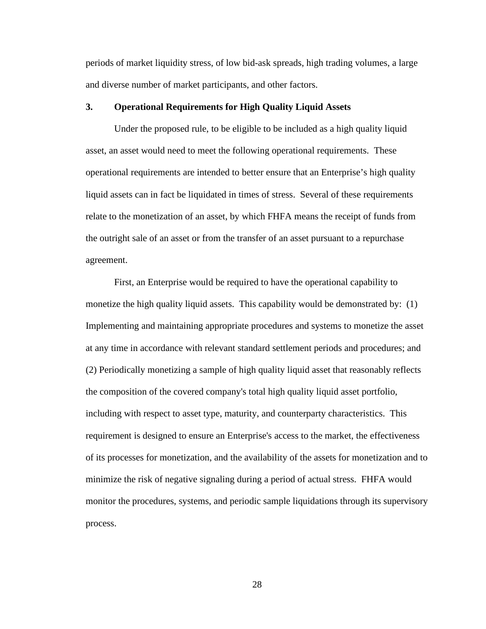periods of market liquidity stress, of low bid-ask spreads, high trading volumes, a large and diverse number of market participants, and other factors.

# **3. Operational Requirements for High Quality Liquid Assets**

Under the proposed rule, to be eligible to be included as a high quality liquid asset, an asset would need to meet the following operational requirements. These operational requirements are intended to better ensure that an Enterprise's high quality liquid assets can in fact be liquidated in times of stress. Several of these requirements relate to the monetization of an asset, by which FHFA means the receipt of funds from the outright sale of an asset or from the transfer of an asset pursuant to a repurchase agreement.

First, an Enterprise would be required to have the operational capability to monetize the high quality liquid assets. This capability would be demonstrated by: (1) Implementing and maintaining appropriate procedures and systems to monetize the asset at any time in accordance with relevant standard settlement periods and procedures; and (2) Periodically monetizing a sample of high quality liquid asset that reasonably reflects the composition of the covered company's total high quality liquid asset portfolio, including with respect to asset type, maturity, and counterparty characteristics. This requirement is designed to ensure an Enterprise's access to the market, the effectiveness of its processes for monetization, and the availability of the assets for monetization and to minimize the risk of negative signaling during a period of actual stress. FHFA would monitor the procedures, systems, and periodic sample liquidations through its supervisory process.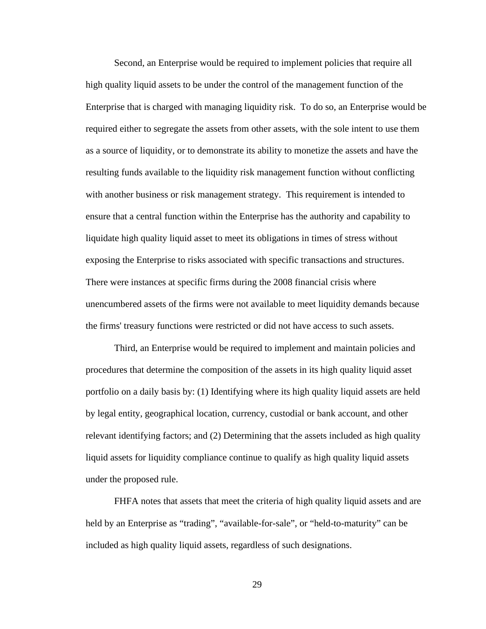Second, an Enterprise would be required to implement policies that require all high quality liquid assets to be under the control of the management function of the Enterprise that is charged with managing liquidity risk. To do so, an Enterprise would be required either to segregate the assets from other assets, with the sole intent to use them as a source of liquidity, or to demonstrate its ability to monetize the assets and have the resulting funds available to the liquidity risk management function without conflicting with another business or risk management strategy. This requirement is intended to ensure that a central function within the Enterprise has the authority and capability to liquidate high quality liquid asset to meet its obligations in times of stress without exposing the Enterprise to risks associated with specific transactions and structures. There were instances at specific firms during the 2008 financial crisis where unencumbered assets of the firms were not available to meet liquidity demands because the firms' treasury functions were restricted or did not have access to such assets.

Third, an Enterprise would be required to implement and maintain policies and procedures that determine the composition of the assets in its high quality liquid asset portfolio on a daily basis by: (1) Identifying where its high quality liquid assets are held by legal entity, geographical location, currency, custodial or bank account, and other relevant identifying factors; and (2) Determining that the assets included as high quality liquid assets for liquidity compliance continue to qualify as high quality liquid assets under the proposed rule.

FHFA notes that assets that meet the criteria of high quality liquid assets and are held by an Enterprise as "trading", "available-for-sale", or "held-to-maturity" can be included as high quality liquid assets, regardless of such designations.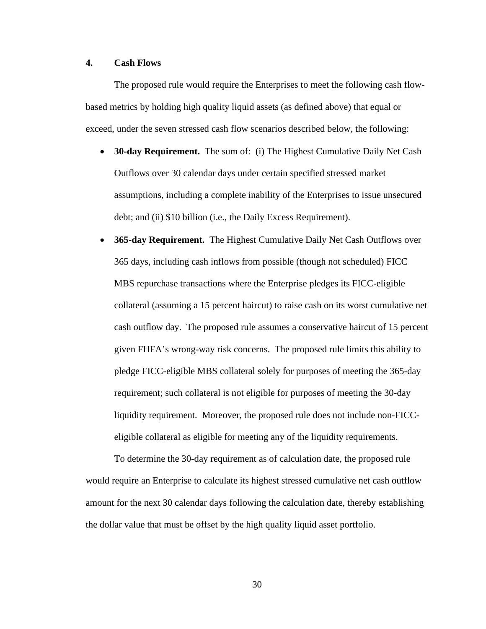# **4. Cash Flows**

The proposed rule would require the Enterprises to meet the following cash flowbased metrics by holding high quality liquid assets (as defined above) that equal or exceed, under the seven stressed cash flow scenarios described below, the following:

- **30-day Requirement.** The sum of: (i) The Highest Cumulative Daily Net Cash Outflows over 30 calendar days under certain specified stressed market assumptions, including a complete inability of the Enterprises to issue unsecured debt; and (ii) \$10 billion (i.e., the Daily Excess Requirement).
- **365-day Requirement.** The Highest Cumulative Daily Net Cash Outflows over 365 days, including cash inflows from possible (though not scheduled) FICC MBS repurchase transactions where the Enterprise pledges its FICC-eligible collateral (assuming a 15 percent haircut) to raise cash on its worst cumulative net cash outflow day. The proposed rule assumes a conservative haircut of 15 percent given FHFA's wrong-way risk concerns. The proposed rule limits this ability to pledge FICC-eligible MBS collateral solely for purposes of meeting the 365-day requirement; such collateral is not eligible for purposes of meeting the 30-day liquidity requirement. Moreover, the proposed rule does not include non-FICCeligible collateral as eligible for meeting any of the liquidity requirements.

To determine the 30-day requirement as of calculation date, the proposed rule would require an Enterprise to calculate its highest stressed cumulative net cash outflow amount for the next 30 calendar days following the calculation date, thereby establishing the dollar value that must be offset by the high quality liquid asset portfolio.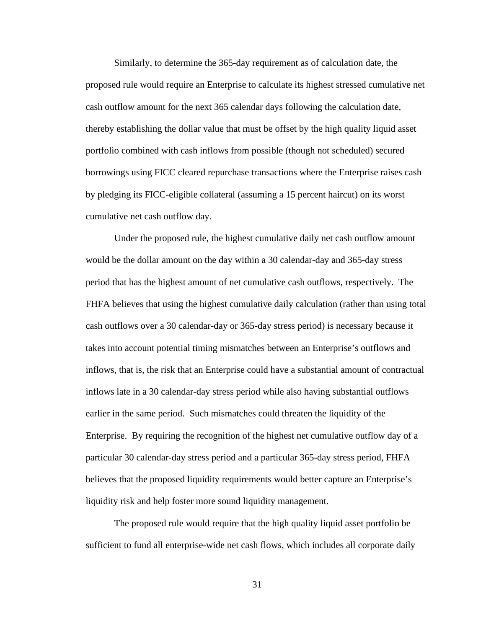Similarly, to determine the 365-day requirement as of calculation date, the proposed rule would require an Enterprise to calculate its highest stressed cumulative net cash outflow amount for the next 365 calendar days following the calculation date, thereby establishing the dollar value that must be offset by the high quality liquid asset portfolio combined with cash inflows from possible (though not scheduled) secured borrowings using FICC cleared repurchase transactions where the Enterprise raises cash by pledging its FICC-eligible collateral (assuming a 15 percent haircut) on its worst cumulative net cash outflow day.

Under the proposed rule, the highest cumulative daily net cash outflow amount would be the dollar amount on the day within a 30 calendar-day and 365-day stress period that has the highest amount of net cumulative cash outflows, respectively. The FHFA believes that using the highest cumulative daily calculation (rather than using total cash outflows over a 30 calendar-day or 365-day stress period) is necessary because it takes into account potential timing mismatches between an Enterprise's outflows and inflows, that is, the risk that an Enterprise could have a substantial amount of contractual inflows late in a 30 calendar-day stress period while also having substantial outflows earlier in the same period. Such mismatches could threaten the liquidity of the Enterprise. By requiring the recognition of the highest net cumulative outflow day of a particular 30 calendar-day stress period and a particular 365-day stress period, FHFA believes that the proposed liquidity requirements would better capture an Enterprise's liquidity risk and help foster more sound liquidity management.

The proposed rule would require that the high quality liquid asset portfolio be sufficient to fund all enterprise-wide net cash flows, which includes all corporate daily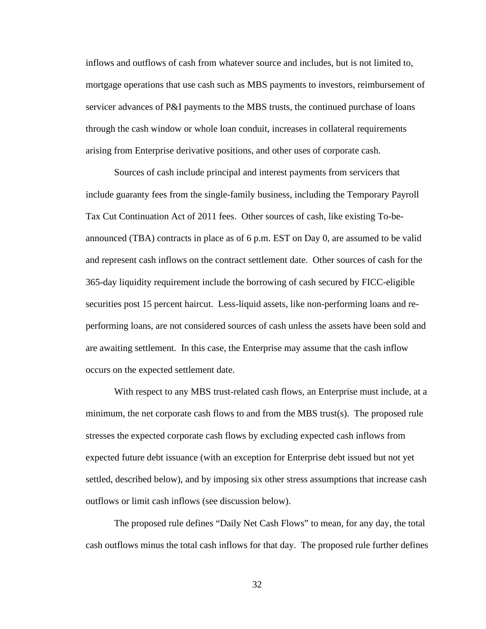inflows and outflows of cash from whatever source and includes, but is not limited to, mortgage operations that use cash such as MBS payments to investors, reimbursement of servicer advances of P&I payments to the MBS trusts, the continued purchase of loans through the cash window or whole loan conduit, increases in collateral requirements arising from Enterprise derivative positions, and other uses of corporate cash.

Sources of cash include principal and interest payments from servicers that include guaranty fees from the single-family business, including the Temporary Payroll Tax Cut Continuation Act of 2011 fees. Other sources of cash, like existing To-beannounced (TBA) contracts in place as of 6 p.m. EST on Day 0, are assumed to be valid and represent cash inflows on the contract settlement date. Other sources of cash for the 365-day liquidity requirement include the borrowing of cash secured by FICC-eligible securities post 15 percent haircut. Less-liquid assets, like non-performing loans and reperforming loans, are not considered sources of cash unless the assets have been sold and are awaiting settlement. In this case, the Enterprise may assume that the cash inflow occurs on the expected settlement date.

With respect to any MBS trust-related cash flows, an Enterprise must include, at a minimum, the net corporate cash flows to and from the MBS trust(s). The proposed rule stresses the expected corporate cash flows by excluding expected cash inflows from expected future debt issuance (with an exception for Enterprise debt issued but not yet settled, described below), and by imposing six other stress assumptions that increase cash outflows or limit cash inflows (see discussion below).

The proposed rule defines "Daily Net Cash Flows" to mean, for any day, the total cash outflows minus the total cash inflows for that day. The proposed rule further defines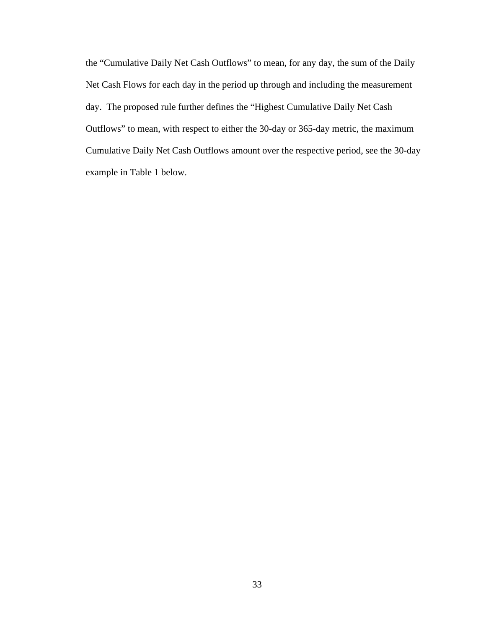the "Cumulative Daily Net Cash Outflows" to mean, for any day, the sum of the Daily Net Cash Flows for each day in the period up through and including the measurement day. The proposed rule further defines the "Highest Cumulative Daily Net Cash Outflows" to mean, with respect to either the 30-day or 365-day metric, the maximum Cumulative Daily Net Cash Outflows amount over the respective period, see the 30-day example in Table 1 below.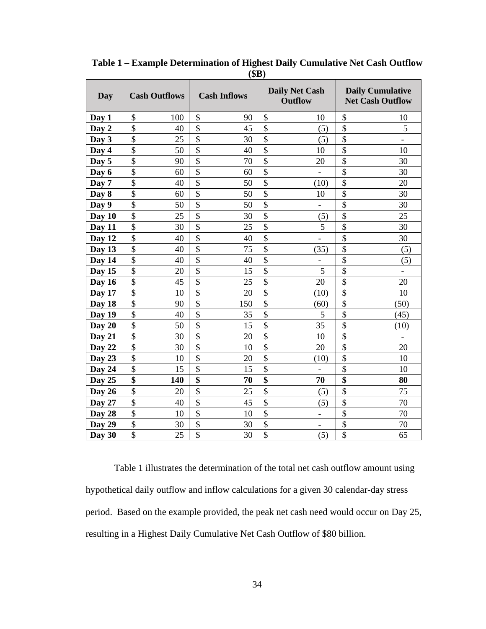| (ψIJ)  |                      |                          |                                         |                                                    |
|--------|----------------------|--------------------------|-----------------------------------------|----------------------------------------------------|
| Day    | <b>Cash Outflows</b> | <b>Cash Inflows</b>      | <b>Daily Net Cash</b><br><b>Outflow</b> | <b>Daily Cumulative</b><br><b>Net Cash Outflow</b> |
| Day 1  | \$                   | \$                       | \$                                      | \$                                                 |
|        | 100                  | 90                       | 10                                      | 10                                                 |
| Day 2  | \$                   | \$                       | \$                                      | \$                                                 |
|        | 40                   | 45                       | (5)                                     | 5                                                  |
| Day 3  | \$                   | \$                       | \$                                      | \$                                                 |
|        | 25                   | 30                       | (5)                                     | $\overline{\phantom{0}}$                           |
| Day 4  | \$                   | \$                       | $\overline{\$}$                         | \$                                                 |
|        | 50                   | 40                       | 10                                      | 10                                                 |
| Day 5  | \$                   | $\overline{\mathbf{S}}$  | $\overline{\$}$                         | \$                                                 |
|        | 90                   | 70                       | 20                                      | 30                                                 |
| Day 6  | \$<br>60             | \$<br>60                 | \$                                      | \$<br>30                                           |
| Day 7  | $\overline{\$}$      | $\overline{\$}$          | $\overline{\$}$                         | $\overline{\$}$                                    |
|        | 40                   | 50                       | (10)                                    | 20                                                 |
| Day 8  | \$                   | $\overline{\$}$          | $\overline{\$}$                         | \$                                                 |
|        | 60                   | 50                       | 10                                      | 30                                                 |
| Day 9  | \$                   | $\overline{\$}$          | $\overline{\$}$                         | \$                                                 |
|        | 50                   | 50                       | $\equiv$                                | 30                                                 |
| Day 10 | \$                   | \$                       | \$                                      | \$                                                 |
|        | 25                   | 30                       | (5)                                     | 25                                                 |
| Day 11 | \$                   | $\overline{\mathbf{S}}$  | $\overline{\$}$                         | \$                                                 |
|        | 30                   | 25                       | 5                                       | 30                                                 |
| Day 12 | \$<br>40             | \$<br>40                 | \$                                      | \$<br>30                                           |
| Day 13 | \$                   | \$                       | \$                                      | \$                                                 |
|        | 40                   | 75                       | (35)                                    | (5)                                                |
| Day 14 | \$<br>40             | \$<br>40                 | \$                                      | \$<br>(5)                                          |
| Day 15 | \$                   | $\overline{\mathbf{S}}$  | $\overline{\$}$                         | \$                                                 |
|        | 20                   | 15                       | 5                                       | $\overline{\phantom{0}}$                           |
| Day 16 | $\overline{\$}$      | $\overline{\mathcal{S}}$ | $\overline{\$}$                         | \$                                                 |
|        | 45                   | 25                       | 20                                      | 20                                                 |
| Day 17 | \$                   | \$                       | \$                                      | \$                                                 |
|        | 10                   | 20                       | (10)                                    | 10                                                 |
| Day 18 | $\overline{\$}$      | $\overline{\mathcal{S}}$ | $\overline{\$}$                         | \$                                                 |
|        | 90                   | 150                      | (60)                                    | (50)                                               |
| Day 19 | \$                   | \$                       | \$                                      | \$                                                 |
|        | 40                   | 35                       | 5                                       | (45)                                               |
| Day 20 | $\overline{\$}$      | $\overline{\$}$          | $\overline{\$}$                         | \$                                                 |
|        | 50                   | 15                       | 35                                      | (10)                                               |
| Day 21 | \$<br>30             | $\overline{\$}$<br>20    | $\overline{\$}$<br>10                   | \$                                                 |
| Day 22 | $\overline{\$}$      | \$                       | $\overline{\$}$                         | \$                                                 |
|        | 30                   | 10                       | 20                                      | 20                                                 |
| Day 23 | \$                   | \$                       | \$                                      | \$                                                 |
|        | 10                   | 20                       | (10)                                    | 10                                                 |
| Day 24 | \$<br>15             | \$<br>15                 | \$                                      | \$<br>10                                           |
| Day 25 | $\overline{\$}$      | $\overline{\$}$          | \$                                      | $\overline{\$}$                                    |
|        | 140                  | 70                       | 70                                      | 80                                                 |
| Day 26 | \$                   | \$                       | \$                                      | \$                                                 |
|        | 20                   | 25                       | (5)                                     | 75                                                 |
| Day 27 | \$                   | \$                       | \$                                      | \$                                                 |
|        | 40                   | 45                       | (5)                                     | 70                                                 |
| Day 28 | \$                   | $\overline{\$}$          | $\overline{\$}$                         | \$                                                 |
|        | 10                   | 10                       | $\overline{\phantom{0}}$                | 70                                                 |
| Day 29 | \$                   | \$                       | \$                                      | \$                                                 |
|        | 30                   | 30                       | $\overline{\phantom{a}}$                | 70                                                 |
| Day 30 | \$                   | $\overline{\mathcal{S}}$ | $\overline{\$}$                         | \$                                                 |
|        | 25                   | 30                       | (5)                                     | 65                                                 |

**Table 1 – Example Determination of Highest Daily Cumulative Net Cash Outflow (\$B)**

Table 1 illustrates the determination of the total net cash outflow amount using hypothetical daily outflow and inflow calculations for a given 30 calendar-day stress period. Based on the example provided, the peak net cash need would occur on Day 25, resulting in a Highest Daily Cumulative Net Cash Outflow of \$80 billion.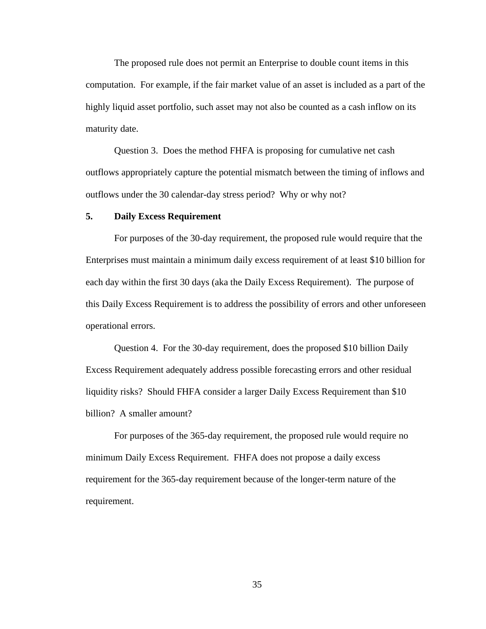The proposed rule does not permit an Enterprise to double count items in this computation. For example, if the fair market value of an asset is included as a part of the highly liquid asset portfolio, such asset may not also be counted as a cash inflow on its maturity date.

Question 3. Does the method FHFA is proposing for cumulative net cash outflows appropriately capture the potential mismatch between the timing of inflows and outflows under the 30 calendar-day stress period? Why or why not?

# **5. Daily Excess Requirement**

For purposes of the 30-day requirement, the proposed rule would require that the Enterprises must maintain a minimum daily excess requirement of at least \$10 billion for each day within the first 30 days (aka the Daily Excess Requirement). The purpose of this Daily Excess Requirement is to address the possibility of errors and other unforeseen operational errors.

Question 4. For the 30-day requirement, does the proposed \$10 billion Daily Excess Requirement adequately address possible forecasting errors and other residual liquidity risks? Should FHFA consider a larger Daily Excess Requirement than \$10 billion? A smaller amount?

For purposes of the 365-day requirement, the proposed rule would require no minimum Daily Excess Requirement. FHFA does not propose a daily excess requirement for the 365-day requirement because of the longer-term nature of the requirement.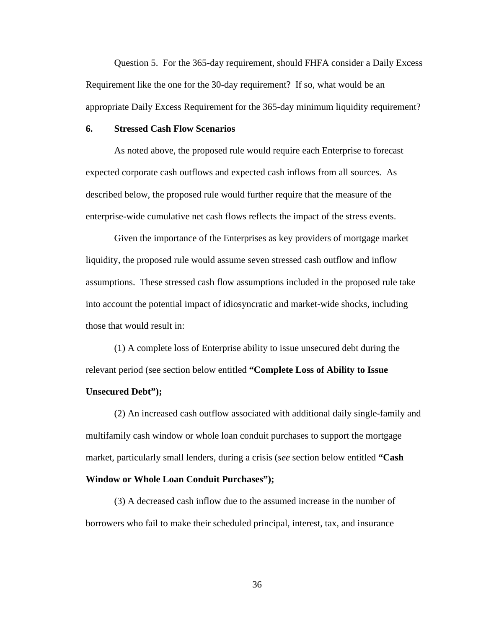Question 5. For the 365-day requirement, should FHFA consider a Daily Excess Requirement like the one for the 30-day requirement? If so, what would be an appropriate Daily Excess Requirement for the 365-day minimum liquidity requirement?

# **6. Stressed Cash Flow Scenarios**

As noted above, the proposed rule would require each Enterprise to forecast expected corporate cash outflows and expected cash inflows from all sources. As described below, the proposed rule would further require that the measure of the enterprise-wide cumulative net cash flows reflects the impact of the stress events.

Given the importance of the Enterprises as key providers of mortgage market liquidity, the proposed rule would assume seven stressed cash outflow and inflow assumptions. These stressed cash flow assumptions included in the proposed rule take into account the potential impact of idiosyncratic and market-wide shocks, including those that would result in:

(1) A complete loss of Enterprise ability to issue unsecured debt during the relevant period (see section below entitled **"Complete Loss of Ability to Issue Unsecured Debt");**

(2) An increased cash outflow associated with additional daily single-family and multifamily cash window or whole loan conduit purchases to support the mortgage market, particularly small lenders, during a crisis (*see* section below entitled **"Cash** 

## **Window or Whole Loan Conduit Purchases");**

(3) A decreased cash inflow due to the assumed increase in the number of borrowers who fail to make their scheduled principal, interest, tax, and insurance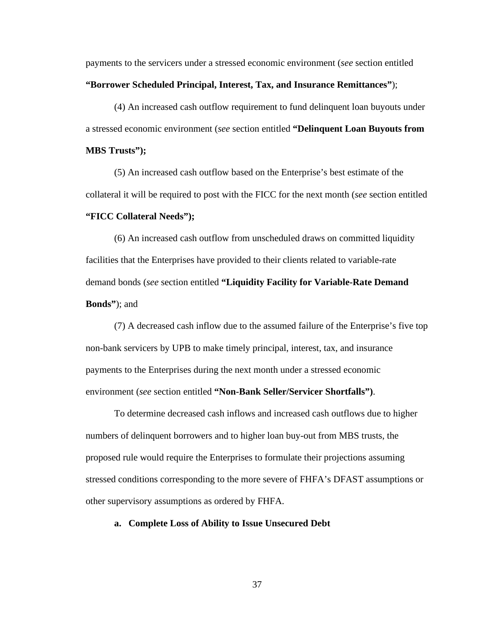payments to the servicers under a stressed economic environment (*see* section entitled **"Borrower Scheduled Principal, Interest, Tax, and Insurance Remittances"**);

(4) An increased cash outflow requirement to fund delinquent loan buyouts under a stressed economic environment (*see* section entitled **"Delinquent Loan Buyouts from MBS Trusts");**

(5) An increased cash outflow based on the Enterprise's best estimate of the collateral it will be required to post with the FICC for the next month (*see* section entitled **"FICC Collateral Needs");**

(6) An increased cash outflow from unscheduled draws on committed liquidity facilities that the Enterprises have provided to their clients related to variable-rate demand bonds (*see* section entitled **"Liquidity Facility for Variable-Rate Demand Bonds"**); and

(7) A decreased cash inflow due to the assumed failure of the Enterprise's five top non-bank servicers by UPB to make timely principal, interest, tax, and insurance payments to the Enterprises during the next month under a stressed economic environment (*see* section entitled **"Non-Bank Seller/Servicer Shortfalls")**.

To determine decreased cash inflows and increased cash outflows due to higher numbers of delinquent borrowers and to higher loan buy-out from MBS trusts, the proposed rule would require the Enterprises to formulate their projections assuming stressed conditions corresponding to the more severe of FHFA's DFAST assumptions or other supervisory assumptions as ordered by FHFA.

# **a. Complete Loss of Ability to Issue Unsecured Debt**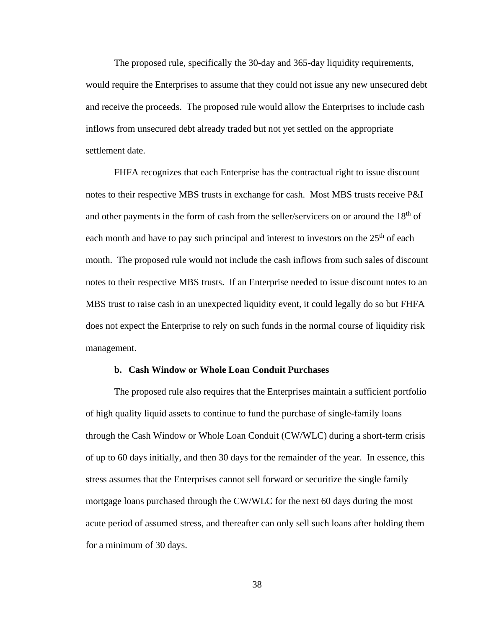The proposed rule, specifically the 30-day and 365-day liquidity requirements, would require the Enterprises to assume that they could not issue any new unsecured debt and receive the proceeds. The proposed rule would allow the Enterprises to include cash inflows from unsecured debt already traded but not yet settled on the appropriate settlement date.

FHFA recognizes that each Enterprise has the contractual right to issue discount notes to their respective MBS trusts in exchange for cash. Most MBS trusts receive P&I and other payments in the form of cash from the seller/servicers on or around the  $18<sup>th</sup>$  of each month and have to pay such principal and interest to investors on the  $25<sup>th</sup>$  of each month. The proposed rule would not include the cash inflows from such sales of discount notes to their respective MBS trusts. If an Enterprise needed to issue discount notes to an MBS trust to raise cash in an unexpected liquidity event, it could legally do so but FHFA does not expect the Enterprise to rely on such funds in the normal course of liquidity risk management.

#### **b. Cash Window or Whole Loan Conduit Purchases**

The proposed rule also requires that the Enterprises maintain a sufficient portfolio of high quality liquid assets to continue to fund the purchase of single-family loans through the Cash Window or Whole Loan Conduit (CW/WLC) during a short-term crisis of up to 60 days initially, and then 30 days for the remainder of the year. In essence, this stress assumes that the Enterprises cannot sell forward or securitize the single family mortgage loans purchased through the CW/WLC for the next 60 days during the most acute period of assumed stress, and thereafter can only sell such loans after holding them for a minimum of 30 days.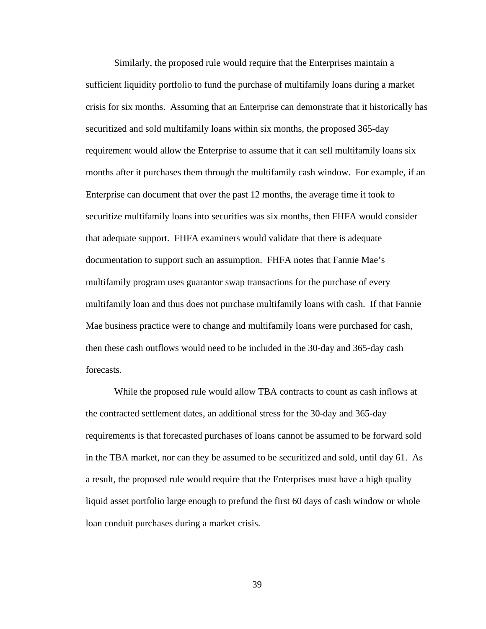Similarly, the proposed rule would require that the Enterprises maintain a sufficient liquidity portfolio to fund the purchase of multifamily loans during a market crisis for six months. Assuming that an Enterprise can demonstrate that it historically has securitized and sold multifamily loans within six months, the proposed 365-day requirement would allow the Enterprise to assume that it can sell multifamily loans six months after it purchases them through the multifamily cash window. For example, if an Enterprise can document that over the past 12 months, the average time it took to securitize multifamily loans into securities was six months, then FHFA would consider that adequate support. FHFA examiners would validate that there is adequate documentation to support such an assumption. FHFA notes that Fannie Mae's multifamily program uses guarantor swap transactions for the purchase of every multifamily loan and thus does not purchase multifamily loans with cash. If that Fannie Mae business practice were to change and multifamily loans were purchased for cash, then these cash outflows would need to be included in the 30-day and 365-day cash forecasts.

While the proposed rule would allow TBA contracts to count as cash inflows at the contracted settlement dates, an additional stress for the 30-day and 365-day requirements is that forecasted purchases of loans cannot be assumed to be forward sold in the TBA market, nor can they be assumed to be securitized and sold, until day 61. As a result, the proposed rule would require that the Enterprises must have a high quality liquid asset portfolio large enough to prefund the first 60 days of cash window or whole loan conduit purchases during a market crisis.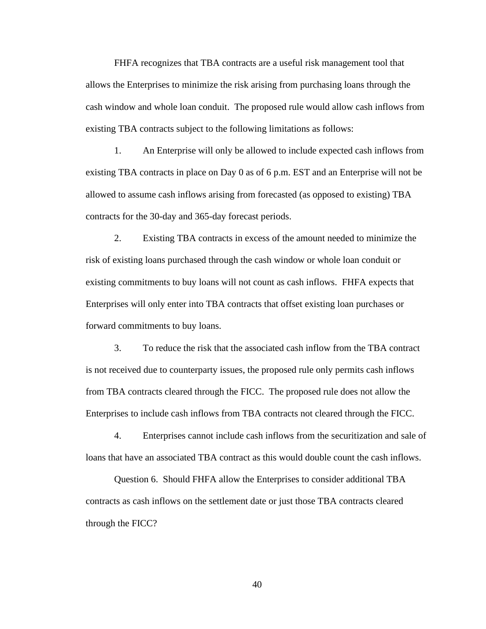FHFA recognizes that TBA contracts are a useful risk management tool that allows the Enterprises to minimize the risk arising from purchasing loans through the cash window and whole loan conduit. The proposed rule would allow cash inflows from existing TBA contracts subject to the following limitations as follows:

1. An Enterprise will only be allowed to include expected cash inflows from existing TBA contracts in place on Day 0 as of 6 p.m. EST and an Enterprise will not be allowed to assume cash inflows arising from forecasted (as opposed to existing) TBA contracts for the 30-day and 365-day forecast periods.

2. Existing TBA contracts in excess of the amount needed to minimize the risk of existing loans purchased through the cash window or whole loan conduit or existing commitments to buy loans will not count as cash inflows. FHFA expects that Enterprises will only enter into TBA contracts that offset existing loan purchases or forward commitments to buy loans.

3. To reduce the risk that the associated cash inflow from the TBA contract is not received due to counterparty issues, the proposed rule only permits cash inflows from TBA contracts cleared through the FICC. The proposed rule does not allow the Enterprises to include cash inflows from TBA contracts not cleared through the FICC.

4. Enterprises cannot include cash inflows from the securitization and sale of loans that have an associated TBA contract as this would double count the cash inflows.

Question 6. Should FHFA allow the Enterprises to consider additional TBA contracts as cash inflows on the settlement date or just those TBA contracts cleared through the FICC?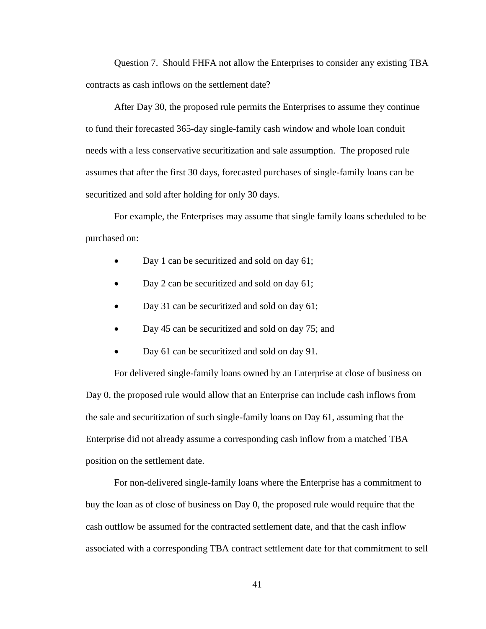Question 7. Should FHFA not allow the Enterprises to consider any existing TBA contracts as cash inflows on the settlement date?

After Day 30, the proposed rule permits the Enterprises to assume they continue to fund their forecasted 365-day single-family cash window and whole loan conduit needs with a less conservative securitization and sale assumption. The proposed rule assumes that after the first 30 days, forecasted purchases of single-family loans can be securitized and sold after holding for only 30 days.

For example, the Enterprises may assume that single family loans scheduled to be purchased on:

- Day 1 can be securitized and sold on day 61;
- Day 2 can be securitized and sold on day 61;
- Day 31 can be securitized and sold on day 61;
- Day 45 can be securitized and sold on day 75; and
- Day 61 can be securitized and sold on day 91.

For delivered single-family loans owned by an Enterprise at close of business on Day 0, the proposed rule would allow that an Enterprise can include cash inflows from the sale and securitization of such single-family loans on Day 61, assuming that the Enterprise did not already assume a corresponding cash inflow from a matched TBA position on the settlement date.

For non-delivered single-family loans where the Enterprise has a commitment to buy the loan as of close of business on Day 0, the proposed rule would require that the cash outflow be assumed for the contracted settlement date, and that the cash inflow associated with a corresponding TBA contract settlement date for that commitment to sell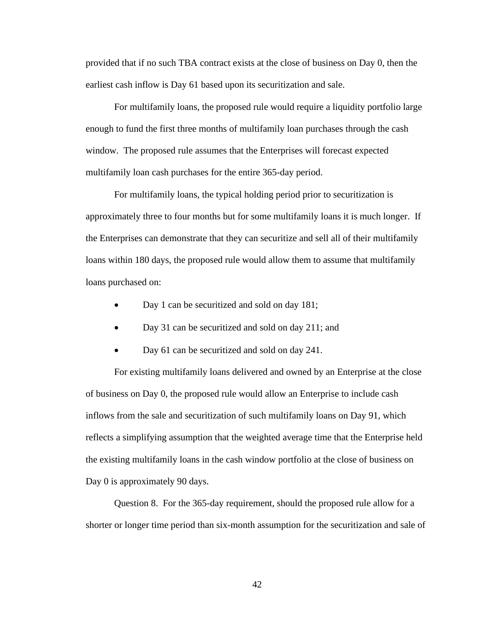provided that if no such TBA contract exists at the close of business on Day 0, then the earliest cash inflow is Day 61 based upon its securitization and sale.

For multifamily loans, the proposed rule would require a liquidity portfolio large enough to fund the first three months of multifamily loan purchases through the cash window. The proposed rule assumes that the Enterprises will forecast expected multifamily loan cash purchases for the entire 365-day period.

For multifamily loans, the typical holding period prior to securitization is approximately three to four months but for some multifamily loans it is much longer. If the Enterprises can demonstrate that they can securitize and sell all of their multifamily loans within 180 days, the proposed rule would allow them to assume that multifamily loans purchased on:

- Day 1 can be securitized and sold on day 181;
- Day 31 can be securitized and sold on day 211; and
- Day 61 can be securitized and sold on day 241.

For existing multifamily loans delivered and owned by an Enterprise at the close of business on Day 0, the proposed rule would allow an Enterprise to include cash inflows from the sale and securitization of such multifamily loans on Day 91, which reflects a simplifying assumption that the weighted average time that the Enterprise held the existing multifamily loans in the cash window portfolio at the close of business on Day 0 is approximately 90 days.

Question 8. For the 365-day requirement, should the proposed rule allow for a shorter or longer time period than six-month assumption for the securitization and sale of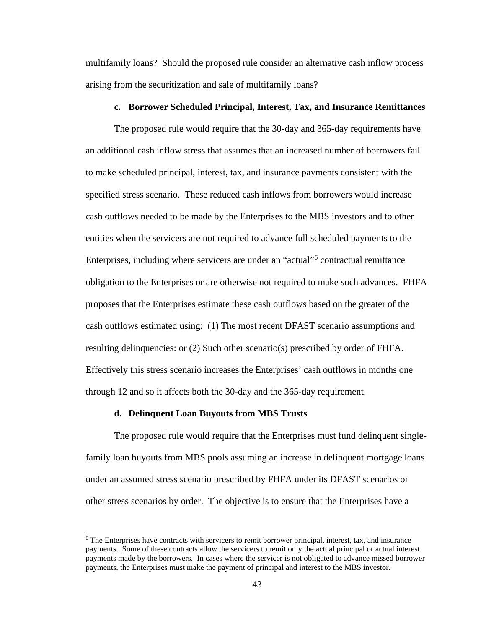multifamily loans? Should the proposed rule consider an alternative cash inflow process arising from the securitization and sale of multifamily loans?

#### **c. Borrower Scheduled Principal, Interest, Tax, and Insurance Remittances**

The proposed rule would require that the 30-day and 365-day requirements have an additional cash inflow stress that assumes that an increased number of borrowers fail to make scheduled principal, interest, tax, and insurance payments consistent with the specified stress scenario. These reduced cash inflows from borrowers would increase cash outflows needed to be made by the Enterprises to the MBS investors and to other entities when the servicers are not required to advance full scheduled payments to the Enterprises, including where servicers are under an "actual"[6](#page-42-0) contractual remittance obligation to the Enterprises or are otherwise not required to make such advances. FHFA proposes that the Enterprises estimate these cash outflows based on the greater of the cash outflows estimated using: (1) The most recent DFAST scenario assumptions and resulting delinquencies: or (2) Such other scenario(s) prescribed by order of FHFA. Effectively this stress scenario increases the Enterprises' cash outflows in months one through 12 and so it affects both the 30-day and the 365-day requirement.

#### **d. Delinquent Loan Buyouts from MBS Trusts**

The proposed rule would require that the Enterprises must fund delinquent singlefamily loan buyouts from MBS pools assuming an increase in delinquent mortgage loans under an assumed stress scenario prescribed by FHFA under its DFAST scenarios or other stress scenarios by order. The objective is to ensure that the Enterprises have a

<span id="page-42-0"></span><sup>&</sup>lt;sup>6</sup> The Enterprises have contracts with servicers to remit borrower principal, interest, tax, and insurance payments. Some of these contracts allow the servicers to remit only the actual principal or actual interest payments made by the borrowers. In cases where the servicer is not obligated to advance missed borrower payments, the Enterprises must make the payment of principal and interest to the MBS investor.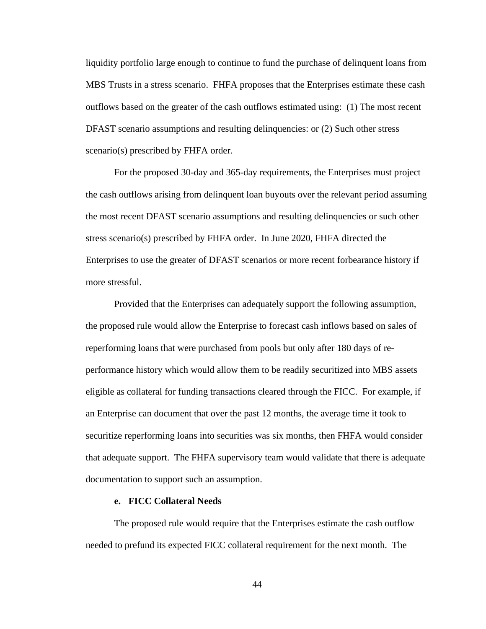liquidity portfolio large enough to continue to fund the purchase of delinquent loans from MBS Trusts in a stress scenario. FHFA proposes that the Enterprises estimate these cash outflows based on the greater of the cash outflows estimated using: (1) The most recent DFAST scenario assumptions and resulting delinquencies: or (2) Such other stress scenario(s) prescribed by FHFA order.

For the proposed 30-day and 365-day requirements, the Enterprises must project the cash outflows arising from delinquent loan buyouts over the relevant period assuming the most recent DFAST scenario assumptions and resulting delinquencies or such other stress scenario(s) prescribed by FHFA order. In June 2020, FHFA directed the Enterprises to use the greater of DFAST scenarios or more recent forbearance history if more stressful.

Provided that the Enterprises can adequately support the following assumption, the proposed rule would allow the Enterprise to forecast cash inflows based on sales of reperforming loans that were purchased from pools but only after 180 days of reperformance history which would allow them to be readily securitized into MBS assets eligible as collateral for funding transactions cleared through the FICC. For example, if an Enterprise can document that over the past 12 months, the average time it took to securitize reperforming loans into securities was six months, then FHFA would consider that adequate support. The FHFA supervisory team would validate that there is adequate documentation to support such an assumption.

#### **e. FICC Collateral Needs**

The proposed rule would require that the Enterprises estimate the cash outflow needed to prefund its expected FICC collateral requirement for the next month. The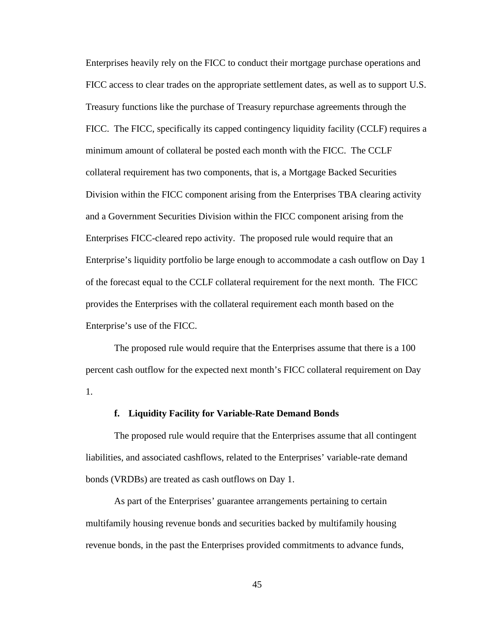Enterprises heavily rely on the FICC to conduct their mortgage purchase operations and FICC access to clear trades on the appropriate settlement dates, as well as to support U.S. Treasury functions like the purchase of Treasury repurchase agreements through the FICC. The FICC, specifically its capped contingency liquidity facility (CCLF) requires a minimum amount of collateral be posted each month with the FICC. The CCLF collateral requirement has two components, that is, a Mortgage Backed Securities Division within the FICC component arising from the Enterprises TBA clearing activity and a Government Securities Division within the FICC component arising from the Enterprises FICC-cleared repo activity. The proposed rule would require that an Enterprise's liquidity portfolio be large enough to accommodate a cash outflow on Day 1 of the forecast equal to the CCLF collateral requirement for the next month. The FICC provides the Enterprises with the collateral requirement each month based on the Enterprise's use of the FICC.

The proposed rule would require that the Enterprises assume that there is a 100 percent cash outflow for the expected next month's FICC collateral requirement on Day 1.

# **f. Liquidity Facility for Variable-Rate Demand Bonds**

The proposed rule would require that the Enterprises assume that all contingent liabilities, and associated cashflows, related to the Enterprises' variable-rate demand bonds (VRDBs) are treated as cash outflows on Day 1.

As part of the Enterprises' guarantee arrangements pertaining to certain multifamily housing revenue bonds and securities backed by multifamily housing revenue bonds, in the past the Enterprises provided commitments to advance funds,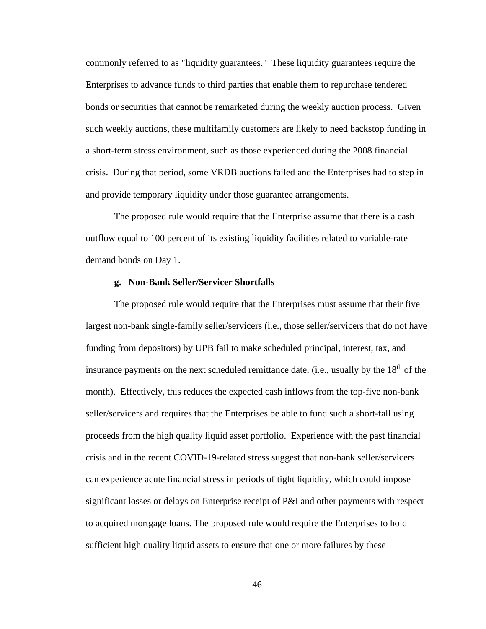commonly referred to as "liquidity guarantees." These liquidity guarantees require the Enterprises to advance funds to third parties that enable them to repurchase tendered bonds or securities that cannot be remarketed during the weekly auction process. Given such weekly auctions, these multifamily customers are likely to need backstop funding in a short-term stress environment, such as those experienced during the 2008 financial crisis. During that period, some VRDB auctions failed and the Enterprises had to step in and provide temporary liquidity under those guarantee arrangements.

The proposed rule would require that the Enterprise assume that there is a cash outflow equal to 100 percent of its existing liquidity facilities related to variable-rate demand bonds on Day 1.

## **g. Non-Bank Seller/Servicer Shortfalls**

The proposed rule would require that the Enterprises must assume that their five largest non-bank single-family seller/servicers (i.e., those seller/servicers that do not have funding from depositors) by UPB fail to make scheduled principal, interest, tax, and insurance payments on the next scheduled remittance date, (i.e., usually by the  $18<sup>th</sup>$  of the month). Effectively, this reduces the expected cash inflows from the top-five non-bank seller/servicers and requires that the Enterprises be able to fund such a short-fall using proceeds from the high quality liquid asset portfolio. Experience with the past financial crisis and in the recent COVID-19-related stress suggest that non-bank seller/servicers can experience acute financial stress in periods of tight liquidity, which could impose significant losses or delays on Enterprise receipt of P&I and other payments with respect to acquired mortgage loans. The proposed rule would require the Enterprises to hold sufficient high quality liquid assets to ensure that one or more failures by these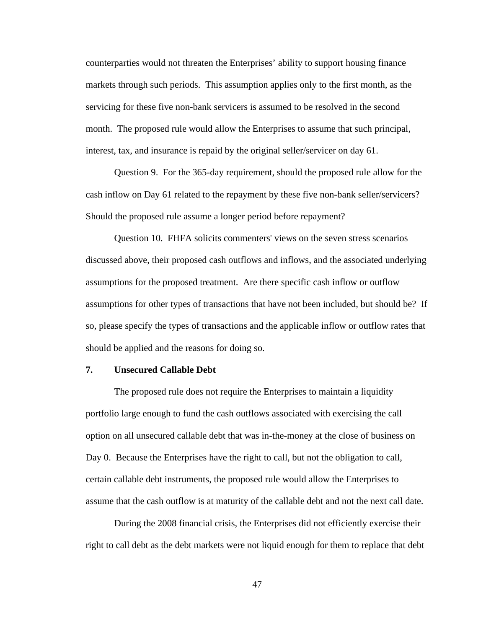counterparties would not threaten the Enterprises' ability to support housing finance markets through such periods. This assumption applies only to the first month, as the servicing for these five non-bank servicers is assumed to be resolved in the second month. The proposed rule would allow the Enterprises to assume that such principal, interest, tax, and insurance is repaid by the original seller/servicer on day 61.

Question 9. For the 365-day requirement, should the proposed rule allow for the cash inflow on Day 61 related to the repayment by these five non-bank seller/servicers? Should the proposed rule assume a longer period before repayment?

Question 10. FHFA solicits commenters' views on the seven stress scenarios discussed above, their proposed cash outflows and inflows, and the associated underlying assumptions for the proposed treatment. Are there specific cash inflow or outflow assumptions for other types of transactions that have not been included, but should be? If so, please specify the types of transactions and the applicable inflow or outflow rates that should be applied and the reasons for doing so.

#### **7. Unsecured Callable Debt**

The proposed rule does not require the Enterprises to maintain a liquidity portfolio large enough to fund the cash outflows associated with exercising the call option on all unsecured callable debt that was in-the-money at the close of business on Day 0. Because the Enterprises have the right to call, but not the obligation to call, certain callable debt instruments, the proposed rule would allow the Enterprises to assume that the cash outflow is at maturity of the callable debt and not the next call date.

During the 2008 financial crisis, the Enterprises did not efficiently exercise their right to call debt as the debt markets were not liquid enough for them to replace that debt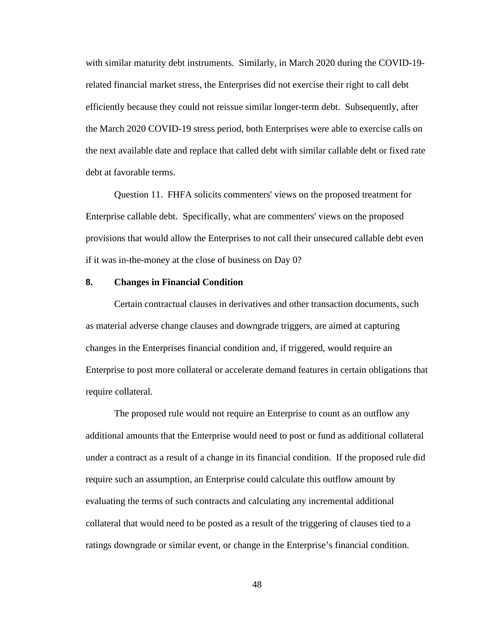with similar maturity debt instruments. Similarly, in March 2020 during the COVID-19 related financial market stress, the Enterprises did not exercise their right to call debt efficiently because they could not reissue similar longer-term debt. Subsequently, after the March 2020 COVID-19 stress period, both Enterprises were able to exercise calls on the next available date and replace that called debt with similar callable debt or fixed rate debt at favorable terms.

Question 11. FHFA solicits commenters' views on the proposed treatment for Enterprise callable debt. Specifically, what are commenters' views on the proposed provisions that would allow the Enterprises to not call their unsecured callable debt even if it was in-the-money at the close of business on Day 0?

#### **8. Changes in Financial Condition**

Certain contractual clauses in derivatives and other transaction documents, such as material adverse change clauses and downgrade triggers, are aimed at capturing changes in the Enterprises financial condition and, if triggered, would require an Enterprise to post more collateral or accelerate demand features in certain obligations that require collateral.

The proposed rule would not require an Enterprise to count as an outflow any additional amounts that the Enterprise would need to post or fund as additional collateral under a contract as a result of a change in its financial condition. If the proposed rule did require such an assumption, an Enterprise could calculate this outflow amount by evaluating the terms of such contracts and calculating any incremental additional collateral that would need to be posted as a result of the triggering of clauses tied to a ratings downgrade or similar event, or change in the Enterprise's financial condition.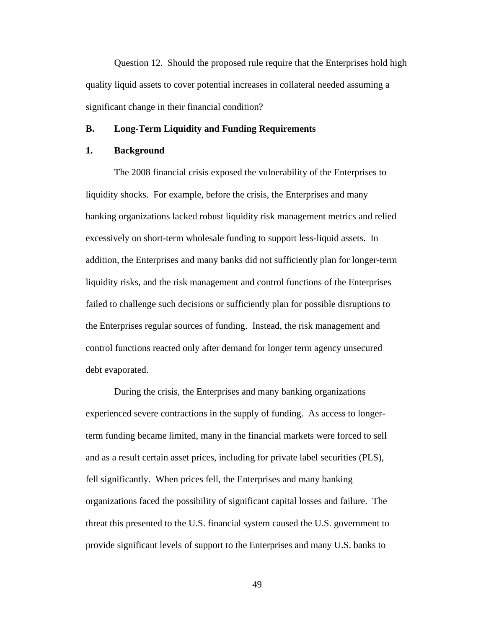Question 12. Should the proposed rule require that the Enterprises hold high quality liquid assets to cover potential increases in collateral needed assuming a significant change in their financial condition?

### **B. Long-Term Liquidity and Funding Requirements**

# **1. Background**

The 2008 financial crisis exposed the vulnerability of the Enterprises to liquidity shocks. For example, before the crisis, the Enterprises and many banking organizations lacked robust liquidity risk management metrics and relied excessively on short-term wholesale funding to support less-liquid assets. In addition, the Enterprises and many banks did not sufficiently plan for longer-term liquidity risks, and the risk management and control functions of the Enterprises failed to challenge such decisions or sufficiently plan for possible disruptions to the Enterprises regular sources of funding. Instead, the risk management and control functions reacted only after demand for longer term agency unsecured debt evaporated.

During the crisis, the Enterprises and many banking organizations experienced severe contractions in the supply of funding. As access to longerterm funding became limited, many in the financial markets were forced to sell and as a result certain asset prices, including for private label securities (PLS), fell significantly. When prices fell, the Enterprises and many banking organizations faced the possibility of significant capital losses and failure. The threat this presented to the U.S. financial system caused the U.S. government to provide significant levels of support to the Enterprises and many U.S. banks to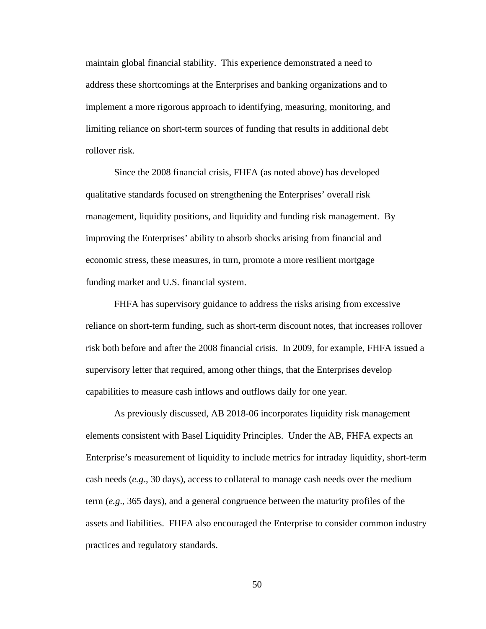maintain global financial stability. This experience demonstrated a need to address these shortcomings at the Enterprises and banking organizations and to implement a more rigorous approach to identifying, measuring, monitoring, and limiting reliance on short-term sources of funding that results in additional debt rollover risk.

Since the 2008 financial crisis, FHFA (as noted above) has developed qualitative standards focused on strengthening the Enterprises' overall risk management, liquidity positions, and liquidity and funding risk management. By improving the Enterprises' ability to absorb shocks arising from financial and economic stress, these measures, in turn, promote a more resilient mortgage funding market and U.S. financial system.

FHFA has supervisory guidance to address the risks arising from excessive reliance on short-term funding, such as short-term discount notes, that increases rollover risk both before and after the 2008 financial crisis. In 2009, for example, FHFA issued a supervisory letter that required, among other things, that the Enterprises develop capabilities to measure cash inflows and outflows daily for one year.

As previously discussed, AB 2018-06 incorporates liquidity risk management elements consistent with Basel Liquidity Principles. Under the AB, FHFA expects an Enterprise's measurement of liquidity to include metrics for intraday liquidity, short-term cash needs (*e.g*., 30 days), access to collateral to manage cash needs over the medium term (*e.g*., 365 days), and a general congruence between the maturity profiles of the assets and liabilities. FHFA also encouraged the Enterprise to consider common industry practices and regulatory standards.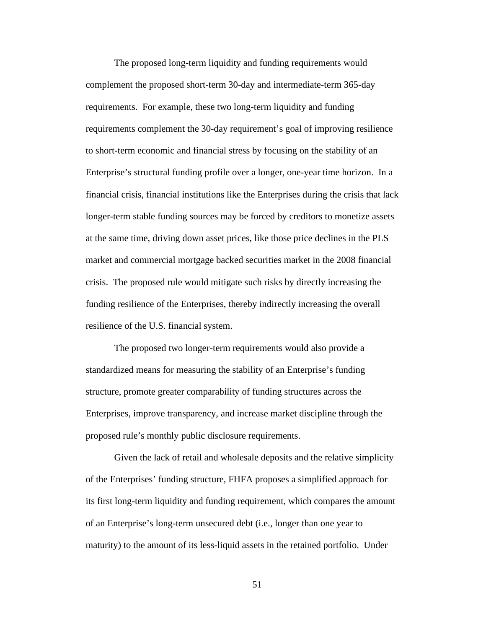The proposed long-term liquidity and funding requirements would complement the proposed short-term 30-day and intermediate-term 365-day requirements. For example, these two long-term liquidity and funding requirements complement the 30-day requirement's goal of improving resilience to short-term economic and financial stress by focusing on the stability of an Enterprise's structural funding profile over a longer, one-year time horizon. In a financial crisis, financial institutions like the Enterprises during the crisis that lack longer-term stable funding sources may be forced by creditors to monetize assets at the same time, driving down asset prices, like those price declines in the PLS market and commercial mortgage backed securities market in the 2008 financial crisis. The proposed rule would mitigate such risks by directly increasing the funding resilience of the Enterprises, thereby indirectly increasing the overall resilience of the U.S. financial system.

The proposed two longer-term requirements would also provide a standardized means for measuring the stability of an Enterprise's funding structure, promote greater comparability of funding structures across the Enterprises, improve transparency, and increase market discipline through the proposed rule's monthly public disclosure requirements.

Given the lack of retail and wholesale deposits and the relative simplicity of the Enterprises' funding structure, FHFA proposes a simplified approach for its first long-term liquidity and funding requirement, which compares the amount of an Enterprise's long-term unsecured debt (i.e., longer than one year to maturity) to the amount of its less-liquid assets in the retained portfolio. Under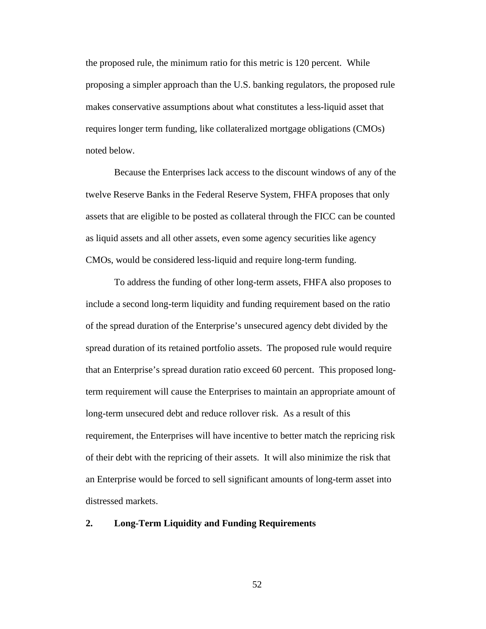the proposed rule, the minimum ratio for this metric is 120 percent. While proposing a simpler approach than the U.S. banking regulators, the proposed rule makes conservative assumptions about what constitutes a less-liquid asset that requires longer term funding, like collateralized mortgage obligations (CMOs) noted below.

Because the Enterprises lack access to the discount windows of any of the twelve Reserve Banks in the Federal Reserve System, FHFA proposes that only assets that are eligible to be posted as collateral through the FICC can be counted as liquid assets and all other assets, even some agency securities like agency CMOs, would be considered less-liquid and require long-term funding.

To address the funding of other long-term assets, FHFA also proposes to include a second long-term liquidity and funding requirement based on the ratio of the spread duration of the Enterprise's unsecured agency debt divided by the spread duration of its retained portfolio assets. The proposed rule would require that an Enterprise's spread duration ratio exceed 60 percent. This proposed longterm requirement will cause the Enterprises to maintain an appropriate amount of long-term unsecured debt and reduce rollover risk. As a result of this requirement, the Enterprises will have incentive to better match the repricing risk of their debt with the repricing of their assets. It will also minimize the risk that an Enterprise would be forced to sell significant amounts of long-term asset into distressed markets.

#### **2. Long-Term Liquidity and Funding Requirements**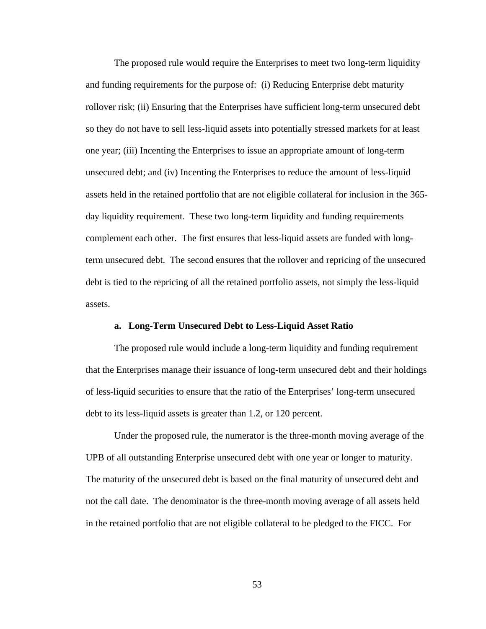The proposed rule would require the Enterprises to meet two long-term liquidity and funding requirements for the purpose of: (i) Reducing Enterprise debt maturity rollover risk; (ii) Ensuring that the Enterprises have sufficient long-term unsecured debt so they do not have to sell less-liquid assets into potentially stressed markets for at least one year; (iii) Incenting the Enterprises to issue an appropriate amount of long-term unsecured debt; and (iv) Incenting the Enterprises to reduce the amount of less-liquid assets held in the retained portfolio that are not eligible collateral for inclusion in the 365 day liquidity requirement. These two long-term liquidity and funding requirements complement each other. The first ensures that less-liquid assets are funded with longterm unsecured debt. The second ensures that the rollover and repricing of the unsecured debt is tied to the repricing of all the retained portfolio assets, not simply the less-liquid assets.

#### **a. Long-Term Unsecured Debt to Less-Liquid Asset Ratio**

The proposed rule would include a long-term liquidity and funding requirement that the Enterprises manage their issuance of long-term unsecured debt and their holdings of less-liquid securities to ensure that the ratio of the Enterprises' long-term unsecured debt to its less-liquid assets is greater than 1.2, or 120 percent.

Under the proposed rule, the numerator is the three-month moving average of the UPB of all outstanding Enterprise unsecured debt with one year or longer to maturity. The maturity of the unsecured debt is based on the final maturity of unsecured debt and not the call date. The denominator is the three-month moving average of all assets held in the retained portfolio that are not eligible collateral to be pledged to the FICC. For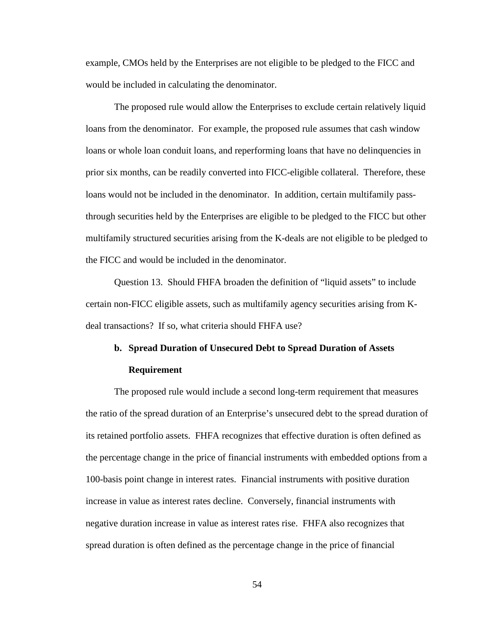example, CMOs held by the Enterprises are not eligible to be pledged to the FICC and would be included in calculating the denominator.

The proposed rule would allow the Enterprises to exclude certain relatively liquid loans from the denominator. For example, the proposed rule assumes that cash window loans or whole loan conduit loans, and reperforming loans that have no delinquencies in prior six months, can be readily converted into FICC-eligible collateral. Therefore, these loans would not be included in the denominator. In addition, certain multifamily passthrough securities held by the Enterprises are eligible to be pledged to the FICC but other multifamily structured securities arising from the K-deals are not eligible to be pledged to the FICC and would be included in the denominator.

Question 13. Should FHFA broaden the definition of "liquid assets" to include certain non-FICC eligible assets, such as multifamily agency securities arising from Kdeal transactions? If so, what criteria should FHFA use?

# **b. Spread Duration of Unsecured Debt to Spread Duration of Assets Requirement**

# The proposed rule would include a second long-term requirement that measures the ratio of the spread duration of an Enterprise's unsecured debt to the spread duration of its retained portfolio assets. FHFA recognizes that effective duration is often defined as the percentage change in the price of financial instruments with embedded options from a 100-basis point change in interest rates. Financial instruments with positive duration increase in value as interest rates decline. Conversely, financial instruments with negative duration increase in value as interest rates rise. FHFA also recognizes that spread duration is often defined as the percentage change in the price of financial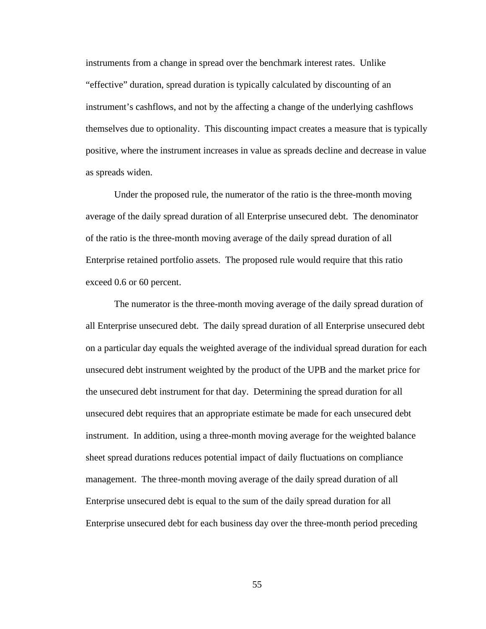instruments from a change in spread over the benchmark interest rates. Unlike "effective" duration, spread duration is typically calculated by discounting of an instrument's cashflows, and not by the affecting a change of the underlying cashflows themselves due to optionality. This discounting impact creates a measure that is typically positive, where the instrument increases in value as spreads decline and decrease in value as spreads widen.

Under the proposed rule, the numerator of the ratio is the three-month moving average of the daily spread duration of all Enterprise unsecured debt. The denominator of the ratio is the three-month moving average of the daily spread duration of all Enterprise retained portfolio assets. The proposed rule would require that this ratio exceed 0.6 or 60 percent.

The numerator is the three-month moving average of the daily spread duration of all Enterprise unsecured debt. The daily spread duration of all Enterprise unsecured debt on a particular day equals the weighted average of the individual spread duration for each unsecured debt instrument weighted by the product of the UPB and the market price for the unsecured debt instrument for that day. Determining the spread duration for all unsecured debt requires that an appropriate estimate be made for each unsecured debt instrument. In addition, using a three-month moving average for the weighted balance sheet spread durations reduces potential impact of daily fluctuations on compliance management. The three-month moving average of the daily spread duration of all Enterprise unsecured debt is equal to the sum of the daily spread duration for all Enterprise unsecured debt for each business day over the three-month period preceding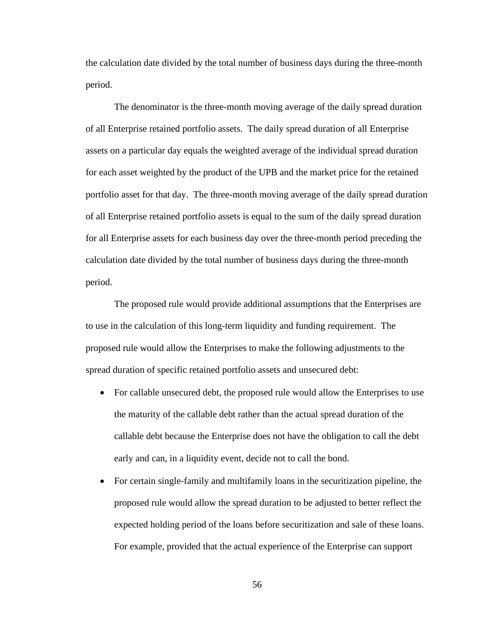the calculation date divided by the total number of business days during the three-month period.

The denominator is the three-month moving average of the daily spread duration of all Enterprise retained portfolio assets. The daily spread duration of all Enterprise assets on a particular day equals the weighted average of the individual spread duration for each asset weighted by the product of the UPB and the market price for the retained portfolio asset for that day. The three-month moving average of the daily spread duration of all Enterprise retained portfolio assets is equal to the sum of the daily spread duration for all Enterprise assets for each business day over the three-month period preceding the calculation date divided by the total number of business days during the three-month period.

The proposed rule would provide additional assumptions that the Enterprises are to use in the calculation of this long-term liquidity and funding requirement. The proposed rule would allow the Enterprises to make the following adjustments to the spread duration of specific retained portfolio assets and unsecured debt:

- For callable unsecured debt, the proposed rule would allow the Enterprises to use the maturity of the callable debt rather than the actual spread duration of the callable debt because the Enterprise does not have the obligation to call the debt early and can, in a liquidity event, decide not to call the bond.
- For certain single-family and multifamily loans in the securitization pipeline, the proposed rule would allow the spread duration to be adjusted to better reflect the expected holding period of the loans before securitization and sale of these loans. For example, provided that the actual experience of the Enterprise can support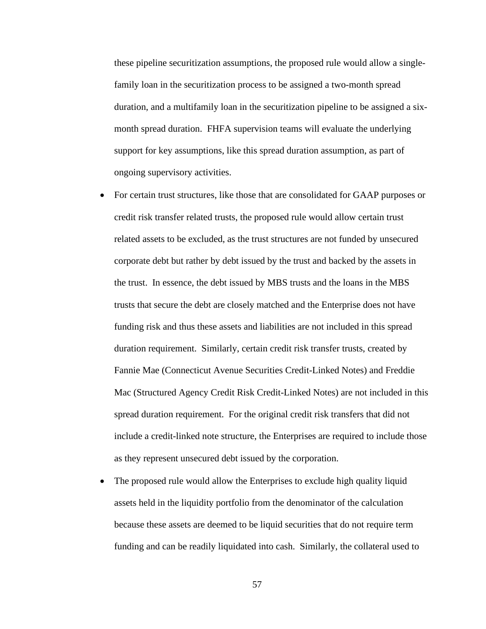these pipeline securitization assumptions, the proposed rule would allow a singlefamily loan in the securitization process to be assigned a two-month spread duration, and a multifamily loan in the securitization pipeline to be assigned a sixmonth spread duration. FHFA supervision teams will evaluate the underlying support for key assumptions, like this spread duration assumption, as part of ongoing supervisory activities.

- For certain trust structures, like those that are consolidated for GAAP purposes or credit risk transfer related trusts, the proposed rule would allow certain trust related assets to be excluded, as the trust structures are not funded by unsecured corporate debt but rather by debt issued by the trust and backed by the assets in the trust. In essence, the debt issued by MBS trusts and the loans in the MBS trusts that secure the debt are closely matched and the Enterprise does not have funding risk and thus these assets and liabilities are not included in this spread duration requirement. Similarly, certain credit risk transfer trusts, created by Fannie Mae (Connecticut Avenue Securities Credit-Linked Notes) and Freddie Mac (Structured Agency Credit Risk Credit-Linked Notes) are not included in this spread duration requirement. For the original credit risk transfers that did not include a credit-linked note structure, the Enterprises are required to include those as they represent unsecured debt issued by the corporation.
- The proposed rule would allow the Enterprises to exclude high quality liquid assets held in the liquidity portfolio from the denominator of the calculation because these assets are deemed to be liquid securities that do not require term funding and can be readily liquidated into cash. Similarly, the collateral used to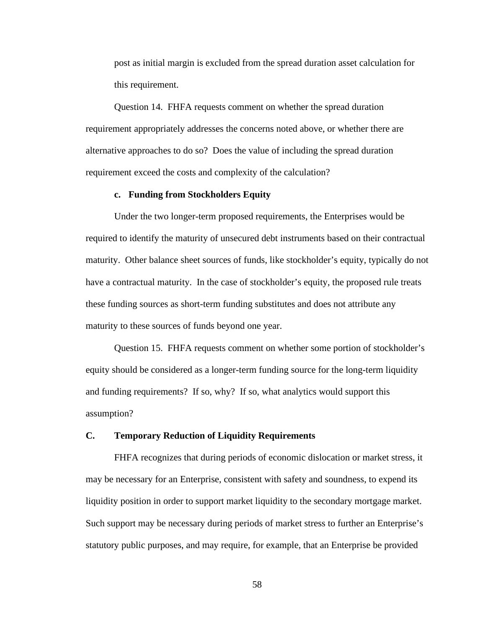post as initial margin is excluded from the spread duration asset calculation for this requirement.

Question 14. FHFA requests comment on whether the spread duration requirement appropriately addresses the concerns noted above, or whether there are alternative approaches to do so? Does the value of including the spread duration requirement exceed the costs and complexity of the calculation?

#### **c. Funding from Stockholders Equity**

Under the two longer-term proposed requirements, the Enterprises would be required to identify the maturity of unsecured debt instruments based on their contractual maturity. Other balance sheet sources of funds, like stockholder's equity, typically do not have a contractual maturity. In the case of stockholder's equity, the proposed rule treats these funding sources as short-term funding substitutes and does not attribute any maturity to these sources of funds beyond one year.

Question 15. FHFA requests comment on whether some portion of stockholder's equity should be considered as a longer-term funding source for the long-term liquidity and funding requirements? If so, why? If so, what analytics would support this assumption?

#### **C. Temporary Reduction of Liquidity Requirements**

FHFA recognizes that during periods of economic dislocation or market stress, it may be necessary for an Enterprise, consistent with safety and soundness, to expend its liquidity position in order to support market liquidity to the secondary mortgage market. Such support may be necessary during periods of market stress to further an Enterprise's statutory public purposes, and may require, for example, that an Enterprise be provided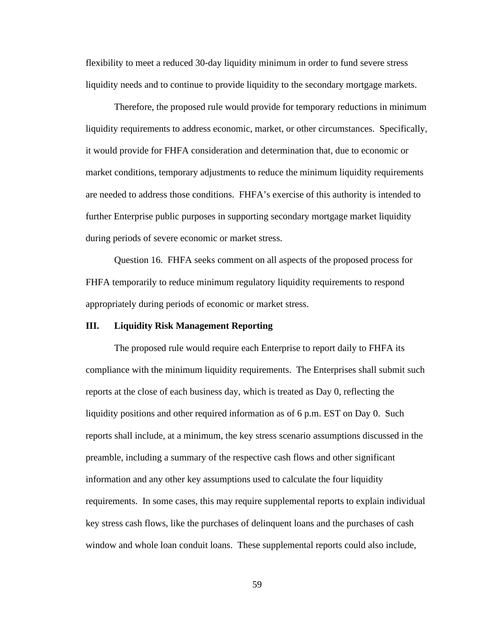flexibility to meet a reduced 30-day liquidity minimum in order to fund severe stress liquidity needs and to continue to provide liquidity to the secondary mortgage markets.

Therefore, the proposed rule would provide for temporary reductions in minimum liquidity requirements to address economic, market, or other circumstances. Specifically, it would provide for FHFA consideration and determination that, due to economic or market conditions, temporary adjustments to reduce the minimum liquidity requirements are needed to address those conditions. FHFA's exercise of this authority is intended to further Enterprise public purposes in supporting secondary mortgage market liquidity during periods of severe economic or market stress.

Question 16. FHFA seeks comment on all aspects of the proposed process for FHFA temporarily to reduce minimum regulatory liquidity requirements to respond appropriately during periods of economic or market stress.

# **III. Liquidity Risk Management Reporting**

The proposed rule would require each Enterprise to report daily to FHFA its compliance with the minimum liquidity requirements. The Enterprises shall submit such reports at the close of each business day, which is treated as Day 0, reflecting the liquidity positions and other required information as of 6 p.m. EST on Day 0. Such reports shall include, at a minimum, the key stress scenario assumptions discussed in the preamble, including a summary of the respective cash flows and other significant information and any other key assumptions used to calculate the four liquidity requirements. In some cases, this may require supplemental reports to explain individual key stress cash flows, like the purchases of delinquent loans and the purchases of cash window and whole loan conduit loans. These supplemental reports could also include,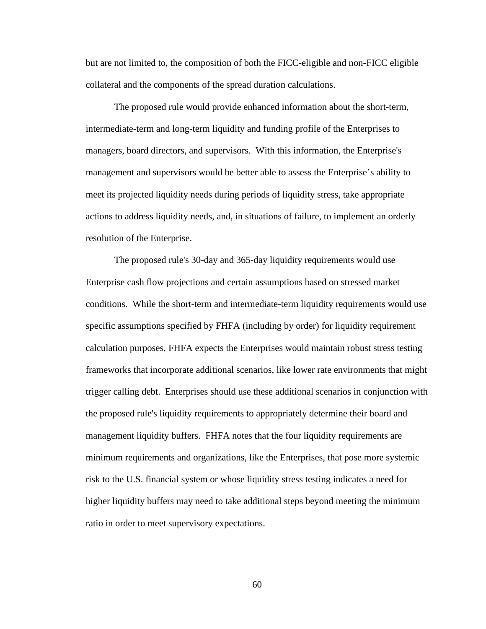but are not limited to, the composition of both the FICC-eligible and non-FICC eligible collateral and the components of the spread duration calculations.

The proposed rule would provide enhanced information about the short-term, intermediate-term and long-term liquidity and funding profile of the Enterprises to managers, board directors, and supervisors. With this information, the Enterprise's management and supervisors would be better able to assess the Enterprise's ability to meet its projected liquidity needs during periods of liquidity stress, take appropriate actions to address liquidity needs, and, in situations of failure, to implement an orderly resolution of the Enterprise.

The proposed rule's 30-day and 365-day liquidity requirements would use Enterprise cash flow projections and certain assumptions based on stressed market conditions. While the short-term and intermediate-term liquidity requirements would use specific assumptions specified by FHFA (including by order) for liquidity requirement calculation purposes, FHFA expects the Enterprises would maintain robust stress testing frameworks that incorporate additional scenarios, like lower rate environments that might trigger calling debt. Enterprises should use these additional scenarios in conjunction with the proposed rule's liquidity requirements to appropriately determine their board and management liquidity buffers. FHFA notes that the four liquidity requirements are minimum requirements and organizations, like the Enterprises, that pose more systemic risk to the U.S. financial system or whose liquidity stress testing indicates a need for higher liquidity buffers may need to take additional steps beyond meeting the minimum ratio in order to meet supervisory expectations.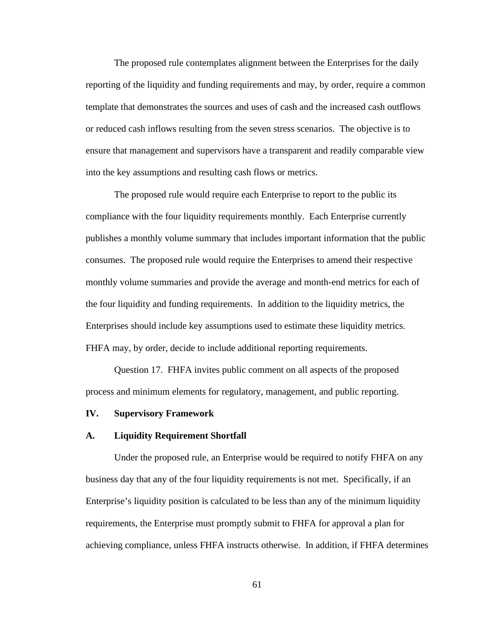The proposed rule contemplates alignment between the Enterprises for the daily reporting of the liquidity and funding requirements and may, by order, require a common template that demonstrates the sources and uses of cash and the increased cash outflows or reduced cash inflows resulting from the seven stress scenarios. The objective is to ensure that management and supervisors have a transparent and readily comparable view into the key assumptions and resulting cash flows or metrics.

The proposed rule would require each Enterprise to report to the public its compliance with the four liquidity requirements monthly. Each Enterprise currently publishes a monthly volume summary that includes important information that the public consumes. The proposed rule would require the Enterprises to amend their respective monthly volume summaries and provide the average and month-end metrics for each of the four liquidity and funding requirements. In addition to the liquidity metrics, the Enterprises should include key assumptions used to estimate these liquidity metrics. FHFA may, by order, decide to include additional reporting requirements.

Question 17. FHFA invites public comment on all aspects of the proposed process and minimum elements for regulatory, management, and public reporting.

#### **IV. Supervisory Framework**

#### **A. Liquidity Requirement Shortfall**

Under the proposed rule, an Enterprise would be required to notify FHFA on any business day that any of the four liquidity requirements is not met. Specifically, if an Enterprise's liquidity position is calculated to be less than any of the minimum liquidity requirements, the Enterprise must promptly submit to FHFA for approval a plan for achieving compliance, unless FHFA instructs otherwise. In addition, if FHFA determines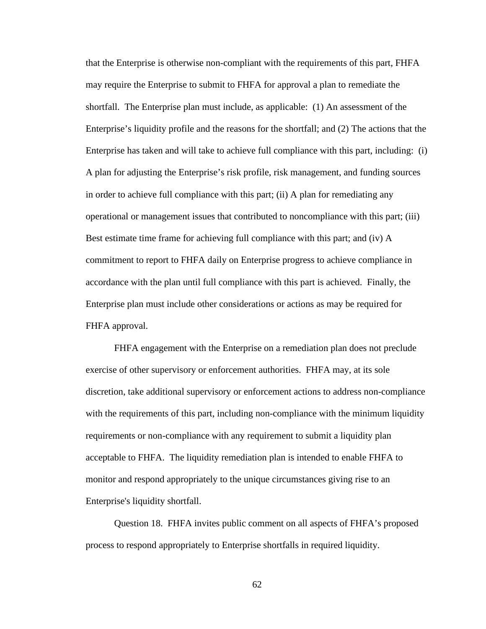that the Enterprise is otherwise non-compliant with the requirements of this part, FHFA may require the Enterprise to submit to FHFA for approval a plan to remediate the shortfall. The Enterprise plan must include, as applicable: (1) An assessment of the Enterprise's liquidity profile and the reasons for the shortfall; and (2) The actions that the Enterprise has taken and will take to achieve full compliance with this part, including: (i) A plan for adjusting the Enterprise's risk profile, risk management, and funding sources in order to achieve full compliance with this part; (ii) A plan for remediating any operational or management issues that contributed to noncompliance with this part; (iii) Best estimate time frame for achieving full compliance with this part; and (iv) A commitment to report to FHFA daily on Enterprise progress to achieve compliance in accordance with the plan until full compliance with this part is achieved. Finally, the Enterprise plan must include other considerations or actions as may be required for FHFA approval.

FHFA engagement with the Enterprise on a remediation plan does not preclude exercise of other supervisory or enforcement authorities. FHFA may, at its sole discretion, take additional supervisory or enforcement actions to address non-compliance with the requirements of this part, including non-compliance with the minimum liquidity requirements or non-compliance with any requirement to submit a liquidity plan acceptable to FHFA. The liquidity remediation plan is intended to enable FHFA to monitor and respond appropriately to the unique circumstances giving rise to an Enterprise's liquidity shortfall.

Question 18. FHFA invites public comment on all aspects of FHFA's proposed process to respond appropriately to Enterprise shortfalls in required liquidity.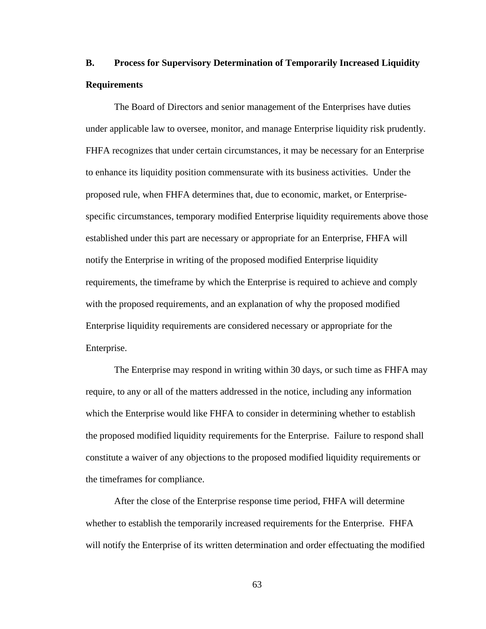# **B. Process for Supervisory Determination of Temporarily Increased Liquidity Requirements**

The Board of Directors and senior management of the Enterprises have duties under applicable law to oversee, monitor, and manage Enterprise liquidity risk prudently. FHFA recognizes that under certain circumstances, it may be necessary for an Enterprise to enhance its liquidity position commensurate with its business activities. Under the proposed rule, when FHFA determines that, due to economic, market, or Enterprisespecific circumstances, temporary modified Enterprise liquidity requirements above those established under this part are necessary or appropriate for an Enterprise, FHFA will notify the Enterprise in writing of the proposed modified Enterprise liquidity requirements, the timeframe by which the Enterprise is required to achieve and comply with the proposed requirements, and an explanation of why the proposed modified Enterprise liquidity requirements are considered necessary or appropriate for the Enterprise.

The Enterprise may respond in writing within 30 days, or such time as FHFA may require, to any or all of the matters addressed in the notice, including any information which the Enterprise would like FHFA to consider in determining whether to establish the proposed modified liquidity requirements for the Enterprise. Failure to respond shall constitute a waiver of any objections to the proposed modified liquidity requirements or the timeframes for compliance.

After the close of the Enterprise response time period, FHFA will determine whether to establish the temporarily increased requirements for the Enterprise. FHFA will notify the Enterprise of its written determination and order effectuating the modified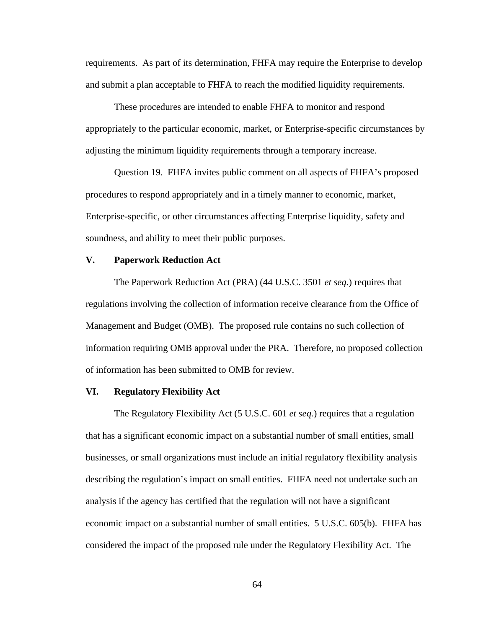requirements. As part of its determination, FHFA may require the Enterprise to develop and submit a plan acceptable to FHFA to reach the modified liquidity requirements.

These procedures are intended to enable FHFA to monitor and respond appropriately to the particular economic, market, or Enterprise-specific circumstances by adjusting the minimum liquidity requirements through a temporary increase.

Question 19. FHFA invites public comment on all aspects of FHFA's proposed procedures to respond appropriately and in a timely manner to economic, market, Enterprise-specific, or other circumstances affecting Enterprise liquidity, safety and soundness, and ability to meet their public purposes.

#### **V. Paperwork Reduction Act**

The Paperwork Reduction Act (PRA) (44 U.S.C. 3501 *et seq.*) requires that regulations involving the collection of information receive clearance from the Office of Management and Budget (OMB). The proposed rule contains no such collection of information requiring OMB approval under the PRA. Therefore, no proposed collection of information has been submitted to OMB for review.

# **VI. Regulatory Flexibility Act**

The Regulatory Flexibility Act (5 U.S.C. 601 *et seq.*) requires that a regulation that has a significant economic impact on a substantial number of small entities, small businesses, or small organizations must include an initial regulatory flexibility analysis describing the regulation's impact on small entities. FHFA need not undertake such an analysis if the agency has certified that the regulation will not have a significant economic impact on a substantial number of small entities. 5 U.S.C. 605(b). FHFA has considered the impact of the proposed rule under the Regulatory Flexibility Act. The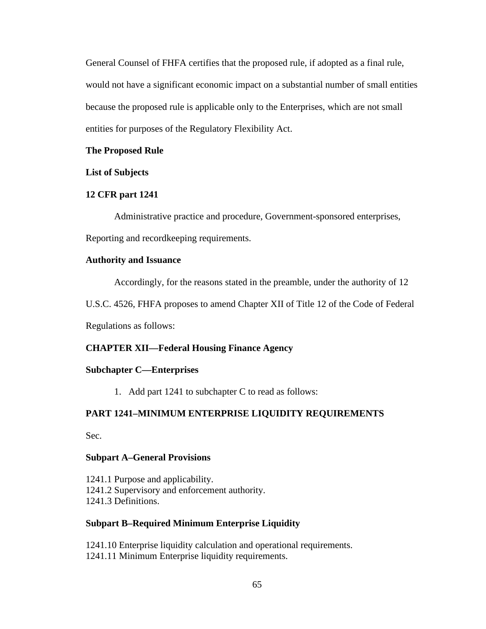General Counsel of FHFA certifies that the proposed rule, if adopted as a final rule, would not have a significant economic impact on a substantial number of small entities because the proposed rule is applicable only to the Enterprises, which are not small entities for purposes of the Regulatory Flexibility Act.

# **The Proposed Rule**

### **List of Subjects**

#### **12 CFR part 1241**

Administrative practice and procedure, Government-sponsored enterprises, Reporting and recordkeeping requirements.

# **Authority and Issuance**

Accordingly, for the reasons stated in the preamble, under the authority of 12

U.S.C. 4526, FHFA proposes to amend Chapter XII of Title 12 of the Code of Federal

Regulations as follows:

#### **CHAPTER XII—Federal Housing Finance Agency**

### **Subchapter C—Enterprises**

1. Add part 1241 to subchapter C to read as follows:

# **PART 1241–MINIMUM ENTERPRISE LIQUIDITY REQUIREMENTS**

Sec.

#### **Subpart A–General Provisions**

1241.1 Purpose and applicability. 1241.2 Supervisory and enforcement authority. 1241.3 Definitions.

# **Subpart B–Required Minimum Enterprise Liquidity**

1241.10 Enterprise liquidity calculation and operational requirements. 1241.11 Minimum Enterprise liquidity requirements.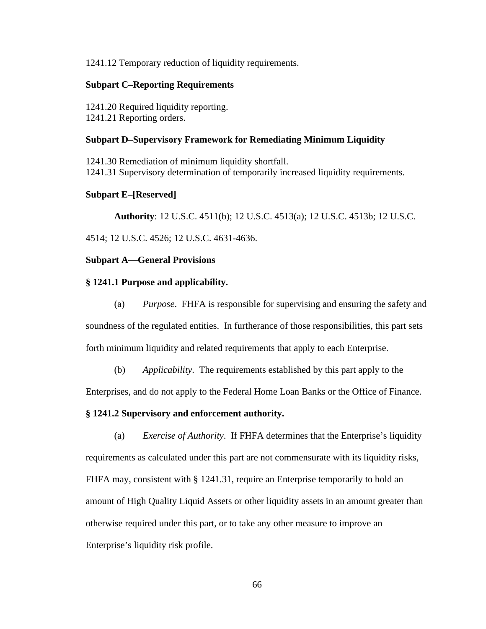1241.12 Temporary reduction of liquidity requirements.

# **Subpart C–Reporting Requirements**

1241.20 Required liquidity reporting. 1241.21 Reporting orders.

# **Subpart D–Supervisory Framework for Remediating Minimum Liquidity**

1241.30 Remediation of minimum liquidity shortfall. 1241.31 Supervisory determination of temporarily increased liquidity requirements.

# **Subpart E–[Reserved]**

**Authority**: 12 U.S.C. 4511(b); 12 U.S.C. 4513(a); 12 U.S.C. 4513b; 12 U.S.C.

4514; 12 U.S.C. 4526; 12 U.S.C. 4631-4636.

# **Subpart A—General Provisions**

# **§ 1241.1 Purpose and applicability.**

- (a) *Purpose*. FHFA is responsible for supervising and ensuring the safety and soundness of the regulated entities. In furtherance of those responsibilities, this part sets forth minimum liquidity and related requirements that apply to each Enterprise.
	- (b) *Applicability*. The requirements established by this part apply to the

Enterprises, and do not apply to the Federal Home Loan Banks or the Office of Finance.

# **§ 1241.2 Supervisory and enforcement authority.**

(a) *Exercise of Authority*. If FHFA determines that the Enterprise's liquidity requirements as calculated under this part are not commensurate with its liquidity risks, FHFA may, consistent with § 1241.31, require an Enterprise temporarily to hold an amount of High Quality Liquid Assets or other liquidity assets in an amount greater than otherwise required under this part, or to take any other measure to improve an Enterprise's liquidity risk profile.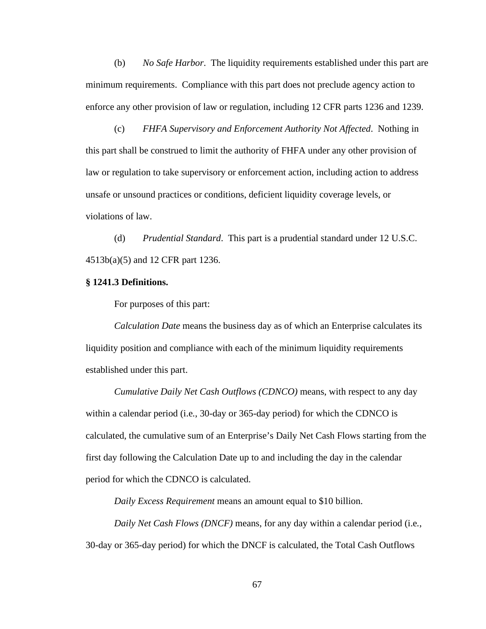(b) *No Safe Harbor*. The liquidity requirements established under this part are minimum requirements. Compliance with this part does not preclude agency action to enforce any other provision of law or regulation, including 12 CFR parts 1236 and 1239.

(c) *FHFA Supervisory and Enforcement Authority Not Affected*. Nothing in this part shall be construed to limit the authority of FHFA under any other provision of law or regulation to take supervisory or enforcement action, including action to address unsafe or unsound practices or conditions, deficient liquidity coverage levels, or violations of law.

(d) *Prudential Standard*. This part is a prudential standard under 12 U.S.C. 4513b(a)(5) and 12 CFR part 1236.

#### **§ 1241.3 Definitions.**

For purposes of this part:

*Calculation Date* means the business day as of which an Enterprise calculates its liquidity position and compliance with each of the minimum liquidity requirements established under this part.

*Cumulative Daily Net Cash Outflows (CDNCO)* means, with respect to any day within a calendar period (i.e*.*, 30-day or 365-day period) for which the CDNCO is calculated, the cumulative sum of an Enterprise's Daily Net Cash Flows starting from the first day following the Calculation Date up to and including the day in the calendar period for which the CDNCO is calculated.

*Daily Excess Requirement* means an amount equal to \$10 billion.

*Daily Net Cash Flows (DNCF)* means, for any day within a calendar period (i.e*.*, 30-day or 365-day period) for which the DNCF is calculated, the Total Cash Outflows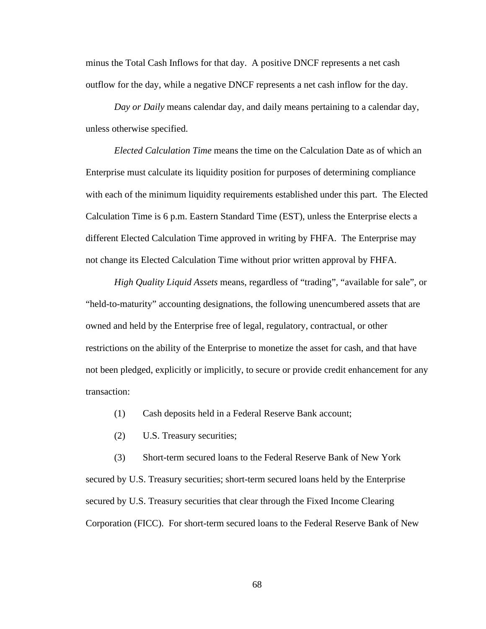minus the Total Cash Inflows for that day. A positive DNCF represents a net cash outflow for the day, while a negative DNCF represents a net cash inflow for the day.

*Day or Daily* means calendar day, and daily means pertaining to a calendar day, unless otherwise specified.

*Elected Calculation Time* means the time on the Calculation Date as of which an Enterprise must calculate its liquidity position for purposes of determining compliance with each of the minimum liquidity requirements established under this part. The Elected Calculation Time is 6 p.m. Eastern Standard Time (EST), unless the Enterprise elects a different Elected Calculation Time approved in writing by FHFA. The Enterprise may not change its Elected Calculation Time without prior written approval by FHFA.

*High Quality Liquid Assets* means, regardless of "trading", "available for sale", or "held-to-maturity" accounting designations, the following unencumbered assets that are owned and held by the Enterprise free of legal, regulatory, contractual, or other restrictions on the ability of the Enterprise to monetize the asset for cash, and that have not been pledged, explicitly or implicitly, to secure or provide credit enhancement for any transaction:

- (1) Cash deposits held in a Federal Reserve Bank account;
- (2) U.S. Treasury securities;

(3) Short-term secured loans to the Federal Reserve Bank of New York secured by U.S. Treasury securities; short-term secured loans held by the Enterprise secured by U.S. Treasury securities that clear through the Fixed Income Clearing Corporation (FICC). For short-term secured loans to the Federal Reserve Bank of New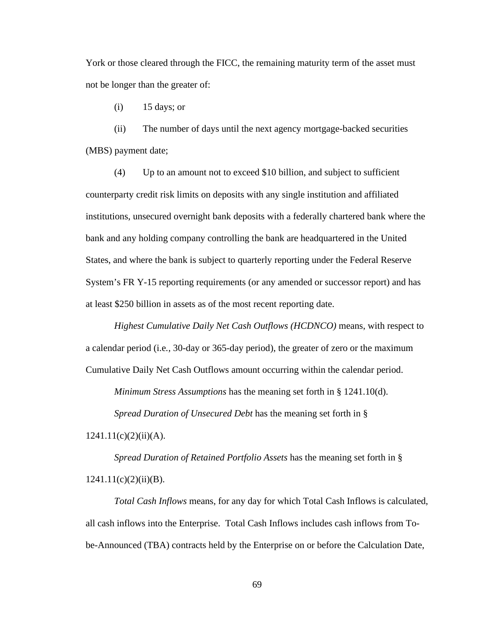York or those cleared through the FICC, the remaining maturity term of the asset must not be longer than the greater of:

(i) 15 days; or

(ii) The number of days until the next agency mortgage-backed securities (MBS) payment date;

(4) Up to an amount not to exceed \$10 billion, and subject to sufficient counterparty credit risk limits on deposits with any single institution and affiliated institutions, unsecured overnight bank deposits with a federally chartered bank where the bank and any holding company controlling the bank are headquartered in the United States, and where the bank is subject to quarterly reporting under the Federal Reserve System's FR Y-15 reporting requirements (or any amended or successor report) and has at least \$250 billion in assets as of the most recent reporting date.

*Highest Cumulative Daily Net Cash Outflows (HCDNCO)* means, with respect to a calendar period (i.e*.,* 30-day or 365-day period), the greater of zero or the maximum Cumulative Daily Net Cash Outflows amount occurring within the calendar period.

*Minimum Stress Assumptions* has the meaning set forth in § 1241.10(d).

*Spread Duration of Unsecured Debt* has the meaning set forth in §

 $1241.11(c)(2)(ii)(A).$ 

*Spread Duration of Retained Portfolio Assets* has the meaning set forth in §  $1241.11(c)(2)(ii)(B).$ 

*Total Cash Inflows* means, for any day for which Total Cash Inflows is calculated, all cash inflows into the Enterprise. Total Cash Inflows includes cash inflows from Tobe-Announced (TBA) contracts held by the Enterprise on or before the Calculation Date,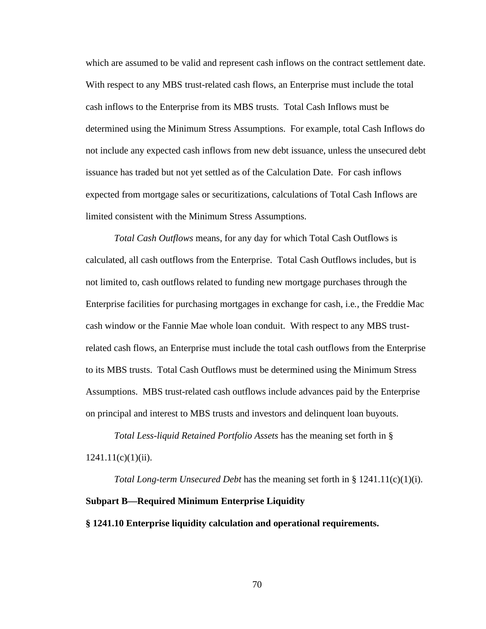which are assumed to be valid and represent cash inflows on the contract settlement date. With respect to any MBS trust-related cash flows, an Enterprise must include the total cash inflows to the Enterprise from its MBS trusts. Total Cash Inflows must be determined using the Minimum Stress Assumptions. For example, total Cash Inflows do not include any expected cash inflows from new debt issuance, unless the unsecured debt issuance has traded but not yet settled as of the Calculation Date. For cash inflows expected from mortgage sales or securitizations, calculations of Total Cash Inflows are limited consistent with the Minimum Stress Assumptions.

*Total Cash Outflows* means, for any day for which Total Cash Outflows is calculated, all cash outflows from the Enterprise. Total Cash Outflows includes, but is not limited to, cash outflows related to funding new mortgage purchases through the Enterprise facilities for purchasing mortgages in exchange for cash, i.e*.*, the Freddie Mac cash window or the Fannie Mae whole loan conduit. With respect to any MBS trustrelated cash flows, an Enterprise must include the total cash outflows from the Enterprise to its MBS trusts. Total Cash Outflows must be determined using the Minimum Stress Assumptions. MBS trust-related cash outflows include advances paid by the Enterprise on principal and interest to MBS trusts and investors and delinquent loan buyouts.

*Total Less-liquid Retained Portfolio Assets* has the meaning set forth in §  $1241.11(c)(1)(ii)$ .

*Total Long-term Unsecured Debt* has the meaning set forth in § 1241.11(c)(1)(i). **Subpart B—Required Minimum Enterprise Liquidity § 1241.10 Enterprise liquidity calculation and operational requirements.**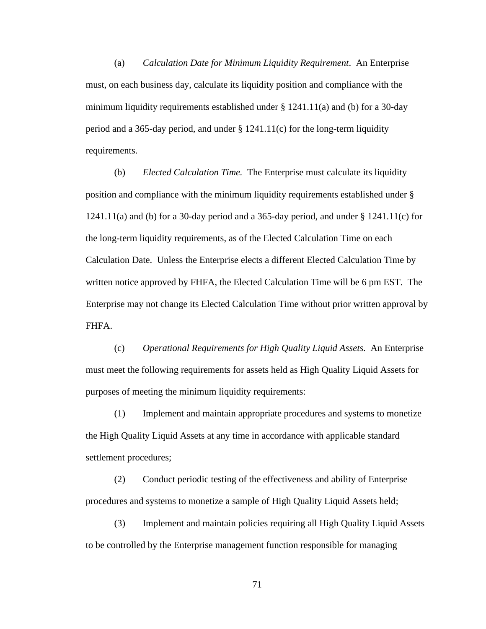(a) *Calculation Date for Minimum Liquidity Requirement*. An Enterprise must, on each business day, calculate its liquidity position and compliance with the minimum liquidity requirements established under  $\S 1241.11(a)$  and (b) for a 30-day period and a 365-day period, and under § 1241.11(c) for the long-term liquidity requirements.

(b) *Elected Calculation Time.* The Enterprise must calculate its liquidity position and compliance with the minimum liquidity requirements established under § 1241.11(a) and (b) for a 30-day period and a 365-day period, and under  $\S$  1241.11(c) for the long-term liquidity requirements, as of the Elected Calculation Time on each Calculation Date. Unless the Enterprise elects a different Elected Calculation Time by written notice approved by FHFA, the Elected Calculation Time will be 6 pm EST. The Enterprise may not change its Elected Calculation Time without prior written approval by FHFA.

(c) *Operational Requirements for High Quality Liquid Assets.* An Enterprise must meet the following requirements for assets held as High Quality Liquid Assets for purposes of meeting the minimum liquidity requirements:

(1) Implement and maintain appropriate procedures and systems to monetize the High Quality Liquid Assets at any time in accordance with applicable standard settlement procedures;

(2) Conduct periodic testing of the effectiveness and ability of Enterprise procedures and systems to monetize a sample of High Quality Liquid Assets held;

(3) Implement and maintain policies requiring all High Quality Liquid Assets to be controlled by the Enterprise management function responsible for managing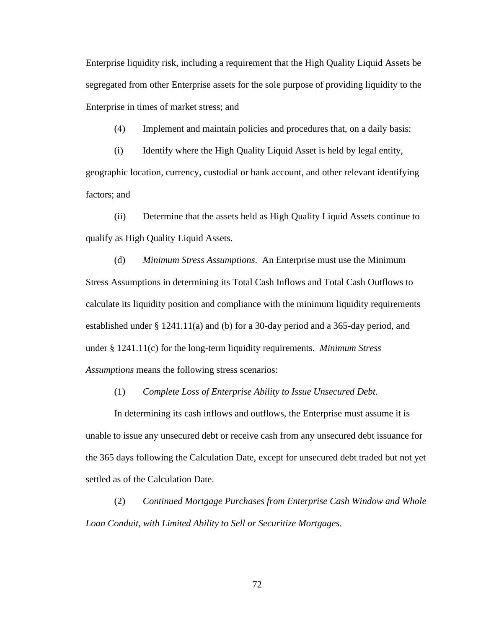Enterprise liquidity risk, including a requirement that the High Quality Liquid Assets be segregated from other Enterprise assets for the sole purpose of providing liquidity to the Enterprise in times of market stress; and

(4) Implement and maintain policies and procedures that, on a daily basis:

(i) Identify where the High Quality Liquid Asset is held by legal entity, geographic location, currency, custodial or bank account, and other relevant identifying factors; and

(ii) Determine that the assets held as High Quality Liquid Assets continue to qualify as High Quality Liquid Assets.

(d) *Minimum Stress Assumptions*. An Enterprise must use the Minimum Stress Assumptions in determining its Total Cash Inflows and Total Cash Outflows to calculate its liquidity position and compliance with the minimum liquidity requirements established under § 1241.11(a) and (b) for a 30-day period and a 365-day period, and under § 1241.11(c) for the long-term liquidity requirements. *Minimum Stress Assumptions* means the following stress scenarios:

(1) *Complete Loss of Enterprise Ability to Issue Unsecured Debt.*

In determining its cash inflows and outflows, the Enterprise must assume it is unable to issue any unsecured debt or receive cash from any unsecured debt issuance for the 365 days following the Calculation Date, except for unsecured debt traded but not yet settled as of the Calculation Date.

(2) *Continued Mortgage Purchases from Enterprise Cash Window and Whole Loan Conduit, with Limited Ability to Sell or Securitize Mortgages.*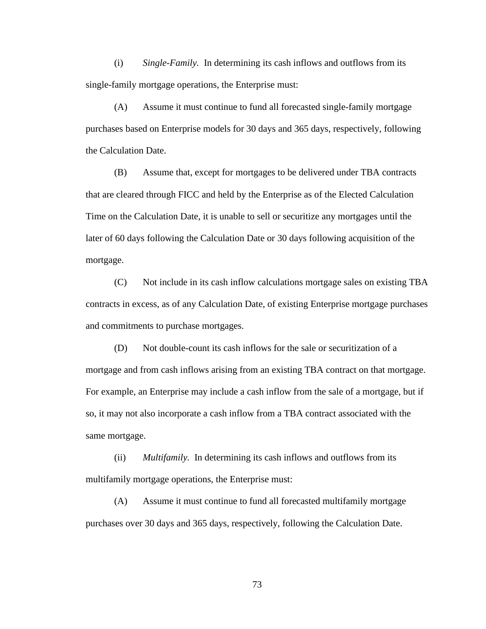(i) *Single-Family.* In determining its cash inflows and outflows from its single-family mortgage operations, the Enterprise must:

(A) Assume it must continue to fund all forecasted single-family mortgage purchases based on Enterprise models for 30 days and 365 days, respectively, following the Calculation Date.

(B) Assume that, except for mortgages to be delivered under TBA contracts that are cleared through FICC and held by the Enterprise as of the Elected Calculation Time on the Calculation Date, it is unable to sell or securitize any mortgages until the later of 60 days following the Calculation Date or 30 days following acquisition of the mortgage.

(C) Not include in its cash inflow calculations mortgage sales on existing TBA contracts in excess, as of any Calculation Date, of existing Enterprise mortgage purchases and commitments to purchase mortgages.

(D) Not double-count its cash inflows for the sale or securitization of a mortgage and from cash inflows arising from an existing TBA contract on that mortgage. For example, an Enterprise may include a cash inflow from the sale of a mortgage, but if so, it may not also incorporate a cash inflow from a TBA contract associated with the same mortgage.

(ii) *Multifamily.* In determining its cash inflows and outflows from its multifamily mortgage operations, the Enterprise must:

(A) Assume it must continue to fund all forecasted multifamily mortgage purchases over 30 days and 365 days, respectively, following the Calculation Date.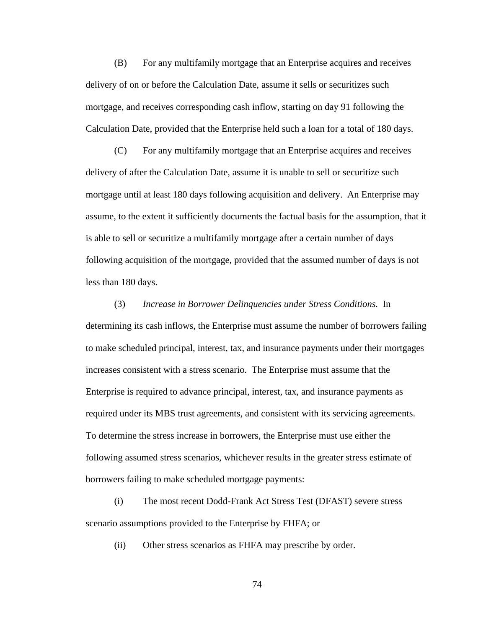(B) For any multifamily mortgage that an Enterprise acquires and receives delivery of on or before the Calculation Date, assume it sells or securitizes such mortgage, and receives corresponding cash inflow, starting on day 91 following the Calculation Date, provided that the Enterprise held such a loan for a total of 180 days.

(C) For any multifamily mortgage that an Enterprise acquires and receives delivery of after the Calculation Date, assume it is unable to sell or securitize such mortgage until at least 180 days following acquisition and delivery. An Enterprise may assume, to the extent it sufficiently documents the factual basis for the assumption, that it is able to sell or securitize a multifamily mortgage after a certain number of days following acquisition of the mortgage, provided that the assumed number of days is not less than 180 days.

(3) *Increase in Borrower Delinquencies under Stress Conditions.* In determining its cash inflows, the Enterprise must assume the number of borrowers failing to make scheduled principal, interest, tax, and insurance payments under their mortgages increases consistent with a stress scenario. The Enterprise must assume that the Enterprise is required to advance principal, interest, tax, and insurance payments as required under its MBS trust agreements, and consistent with its servicing agreements. To determine the stress increase in borrowers, the Enterprise must use either the following assumed stress scenarios, whichever results in the greater stress estimate of borrowers failing to make scheduled mortgage payments:

(i) The most recent Dodd-Frank Act Stress Test (DFAST) severe stress scenario assumptions provided to the Enterprise by FHFA; or

(ii) Other stress scenarios as FHFA may prescribe by order.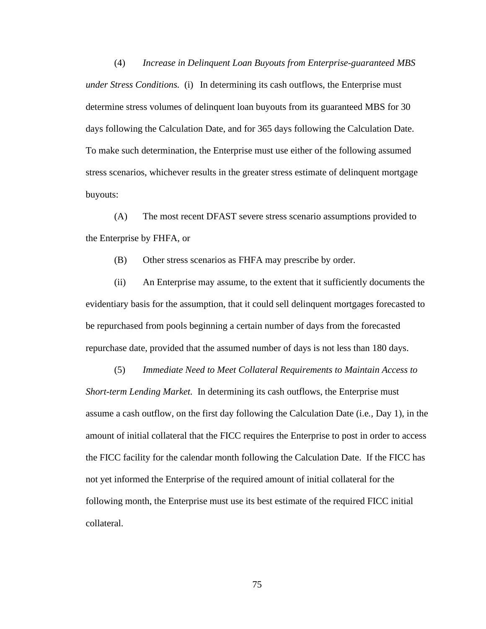(4) *Increase in Delinquent Loan Buyouts from Enterprise-guaranteed MBS under Stress Conditions.* (i) In determining its cash outflows, the Enterprise must determine stress volumes of delinquent loan buyouts from its guaranteed MBS for 30 days following the Calculation Date, and for 365 days following the Calculation Date. To make such determination, the Enterprise must use either of the following assumed stress scenarios, whichever results in the greater stress estimate of delinquent mortgage buyouts:

(A) The most recent DFAST severe stress scenario assumptions provided to the Enterprise by FHFA, or

(B) Other stress scenarios as FHFA may prescribe by order.

(ii) An Enterprise may assume, to the extent that it sufficiently documents the evidentiary basis for the assumption, that it could sell delinquent mortgages forecasted to be repurchased from pools beginning a certain number of days from the forecasted repurchase date, provided that the assumed number of days is not less than 180 days.

(5) *Immediate Need to Meet Collateral Requirements to Maintain Access to Short-term Lending Market.* In determining its cash outflows, the Enterprise must assume a cash outflow, on the first day following the Calculation Date (i.e*.,* Day 1), in the amount of initial collateral that the FICC requires the Enterprise to post in order to access the FICC facility for the calendar month following the Calculation Date. If the FICC has not yet informed the Enterprise of the required amount of initial collateral for the following month, the Enterprise must use its best estimate of the required FICC initial collateral.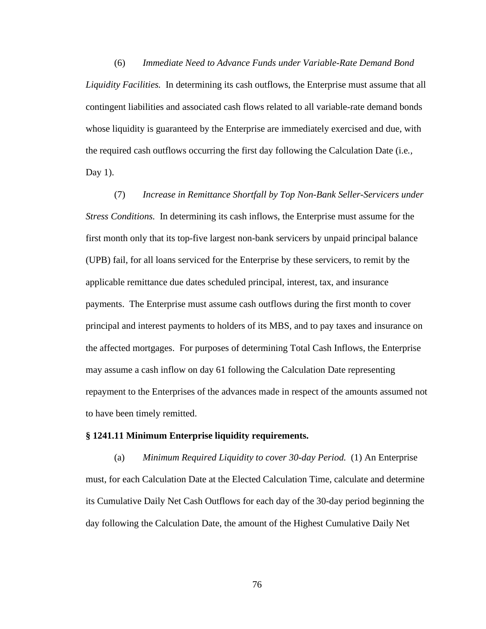(6) *Immediate Need to Advance Funds under Variable-Rate Demand Bond Liquidity Facilities.* In determining its cash outflows, the Enterprise must assume that all contingent liabilities and associated cash flows related to all variable-rate demand bonds whose liquidity is guaranteed by the Enterprise are immediately exercised and due, with the required cash outflows occurring the first day following the Calculation Date (i.e*.,*  Day  $1$ ).

(7) *Increase in Remittance Shortfall by Top Non-Bank Seller-Servicers under Stress Conditions.* In determining its cash inflows, the Enterprise must assume for the first month only that its top-five largest non-bank servicers by unpaid principal balance (UPB) fail, for all loans serviced for the Enterprise by these servicers, to remit by the applicable remittance due dates scheduled principal, interest, tax, and insurance payments. The Enterprise must assume cash outflows during the first month to cover principal and interest payments to holders of its MBS, and to pay taxes and insurance on the affected mortgages. For purposes of determining Total Cash Inflows, the Enterprise may assume a cash inflow on day 61 following the Calculation Date representing repayment to the Enterprises of the advances made in respect of the amounts assumed not to have been timely remitted.

#### **§ 1241.11 Minimum Enterprise liquidity requirements.**

(a) *Minimum Required Liquidity to cover 30-day Period.* (1) An Enterprise must, for each Calculation Date at the Elected Calculation Time, calculate and determine its Cumulative Daily Net Cash Outflows for each day of the 30-day period beginning the day following the Calculation Date, the amount of the Highest Cumulative Daily Net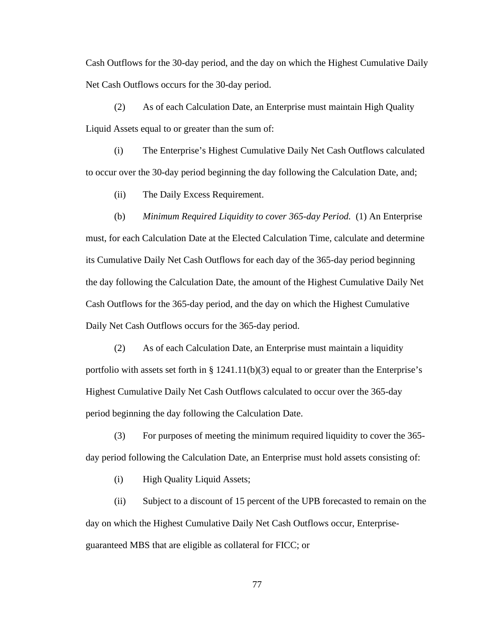Cash Outflows for the 30-day period, and the day on which the Highest Cumulative Daily Net Cash Outflows occurs for the 30-day period.

(2) As of each Calculation Date, an Enterprise must maintain High Quality Liquid Assets equal to or greater than the sum of:

(i) The Enterprise's Highest Cumulative Daily Net Cash Outflows calculated to occur over the 30-day period beginning the day following the Calculation Date, and;

(ii) The Daily Excess Requirement.

(b) *Minimum Required Liquidity to cover 365-day Period.* (1) An Enterprise must, for each Calculation Date at the Elected Calculation Time, calculate and determine its Cumulative Daily Net Cash Outflows for each day of the 365-day period beginning the day following the Calculation Date, the amount of the Highest Cumulative Daily Net Cash Outflows for the 365-day period, and the day on which the Highest Cumulative Daily Net Cash Outflows occurs for the 365-day period.

(2) As of each Calculation Date, an Enterprise must maintain a liquidity portfolio with assets set forth in  $\S 1241.11(b)(3)$  equal to or greater than the Enterprise's Highest Cumulative Daily Net Cash Outflows calculated to occur over the 365-day period beginning the day following the Calculation Date.

(3) For purposes of meeting the minimum required liquidity to cover the 365 day period following the Calculation Date, an Enterprise must hold assets consisting of:

(i) High Quality Liquid Assets;

(ii) Subject to a discount of 15 percent of the UPB forecasted to remain on the day on which the Highest Cumulative Daily Net Cash Outflows occur, Enterpriseguaranteed MBS that are eligible as collateral for FICC; or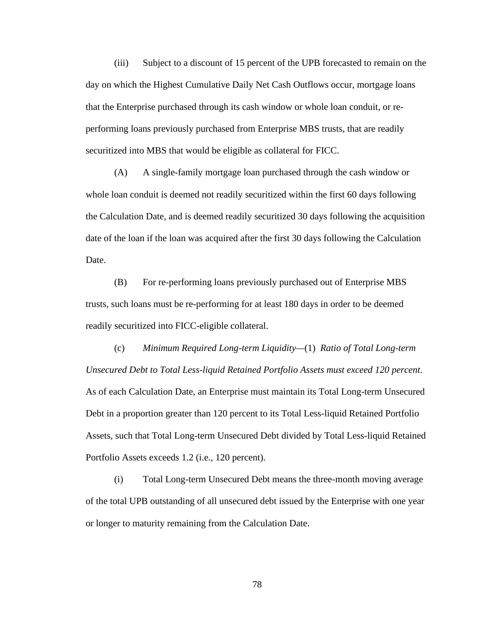(iii) Subject to a discount of 15 percent of the UPB forecasted to remain on the day on which the Highest Cumulative Daily Net Cash Outflows occur, mortgage loans that the Enterprise purchased through its cash window or whole loan conduit, or reperforming loans previously purchased from Enterprise MBS trusts, that are readily securitized into MBS that would be eligible as collateral for FICC.

(A) A single-family mortgage loan purchased through the cash window or whole loan conduit is deemed not readily securitized within the first 60 days following the Calculation Date, and is deemed readily securitized 30 days following the acquisition date of the loan if the loan was acquired after the first 30 days following the Calculation Date.

(B) For re-performing loans previously purchased out of Enterprise MBS trusts, such loans must be re-performing for at least 180 days in order to be deemed readily securitized into FICC-eligible collateral.

(c) *Minimum Required Long-term Liquidity—*(1) *Ratio of Total Long-term Unsecured Debt to Total Less-liquid Retained Portfolio Assets must exceed 120 percent*. As of each Calculation Date, an Enterprise must maintain its Total Long-term Unsecured Debt in a proportion greater than 120 percent to its Total Less-liquid Retained Portfolio Assets, such that Total Long-term Unsecured Debt divided by Total Less-liquid Retained Portfolio Assets exceeds 1.2 (i.e*.,* 120 percent).

(i) Total Long-term Unsecured Debt means the three-month moving average of the total UPB outstanding of all unsecured debt issued by the Enterprise with one year or longer to maturity remaining from the Calculation Date.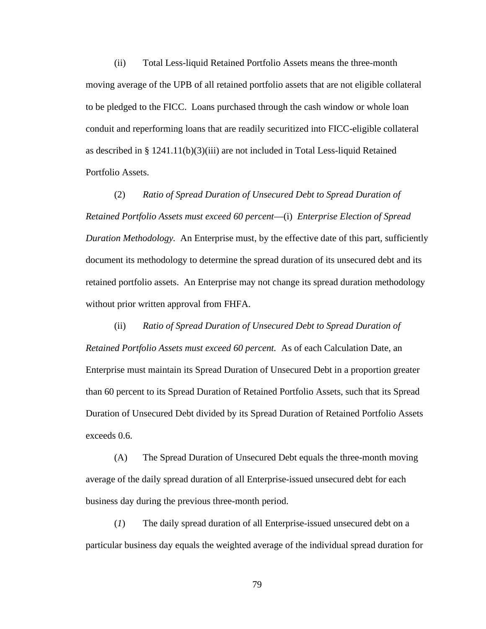(ii) Total Less-liquid Retained Portfolio Assets means the three-month moving average of the UPB of all retained portfolio assets that are not eligible collateral to be pledged to the FICC. Loans purchased through the cash window or whole loan conduit and reperforming loans that are readily securitized into FICC-eligible collateral as described in § 1241.11(b)(3)(iii) are not included in Total Less-liquid Retained Portfolio Assets.

(2) *Ratio of Spread Duration of Unsecured Debt to Spread Duration of Retained Portfolio Assets must exceed 60 percent*—(i) *Enterprise Election of Spread Duration Methodology.* An Enterprise must, by the effective date of this part, sufficiently document its methodology to determine the spread duration of its unsecured debt and its retained portfolio assets. An Enterprise may not change its spread duration methodology without prior written approval from FHFA.

(ii) *Ratio of Spread Duration of Unsecured Debt to Spread Duration of Retained Portfolio Assets must exceed 60 percent.* As of each Calculation Date, an Enterprise must maintain its Spread Duration of Unsecured Debt in a proportion greater than 60 percent to its Spread Duration of Retained Portfolio Assets, such that its Spread Duration of Unsecured Debt divided by its Spread Duration of Retained Portfolio Assets exceeds 0.6.

(A) The Spread Duration of Unsecured Debt equals the three-month moving average of the daily spread duration of all Enterprise-issued unsecured debt for each business day during the previous three-month period.

(*1*) The daily spread duration of all Enterprise-issued unsecured debt on a particular business day equals the weighted average of the individual spread duration for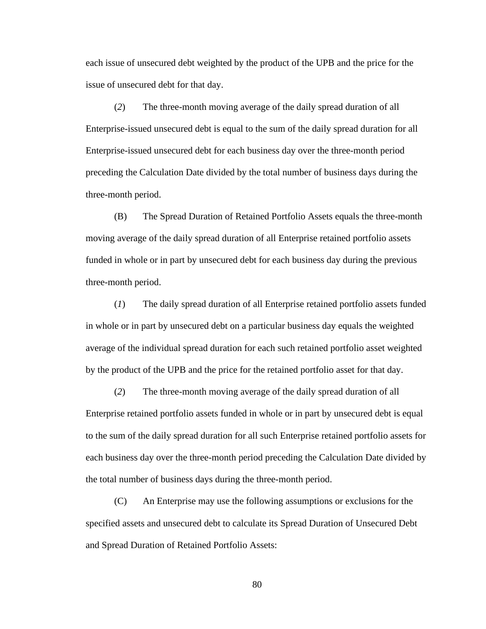each issue of unsecured debt weighted by the product of the UPB and the price for the issue of unsecured debt for that day.

(*2*) The three-month moving average of the daily spread duration of all Enterprise-issued unsecured debt is equal to the sum of the daily spread duration for all Enterprise-issued unsecured debt for each business day over the three-month period preceding the Calculation Date divided by the total number of business days during the three-month period.

(B) The Spread Duration of Retained Portfolio Assets equals the three-month moving average of the daily spread duration of all Enterprise retained portfolio assets funded in whole or in part by unsecured debt for each business day during the previous three-month period.

(*1*) The daily spread duration of all Enterprise retained portfolio assets funded in whole or in part by unsecured debt on a particular business day equals the weighted average of the individual spread duration for each such retained portfolio asset weighted by the product of the UPB and the price for the retained portfolio asset for that day.

(*2*) The three-month moving average of the daily spread duration of all Enterprise retained portfolio assets funded in whole or in part by unsecured debt is equal to the sum of the daily spread duration for all such Enterprise retained portfolio assets for each business day over the three-month period preceding the Calculation Date divided by the total number of business days during the three-month period.

(C) An Enterprise may use the following assumptions or exclusions for the specified assets and unsecured debt to calculate its Spread Duration of Unsecured Debt and Spread Duration of Retained Portfolio Assets: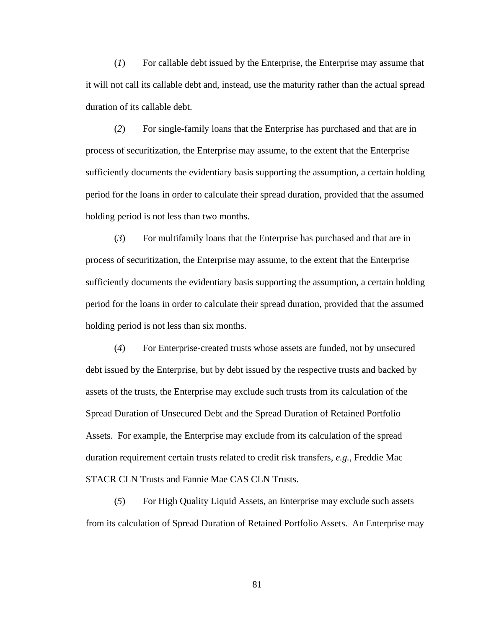(*1*) For callable debt issued by the Enterprise, the Enterprise may assume that it will not call its callable debt and, instead, use the maturity rather than the actual spread duration of its callable debt.

(*2*) For single-family loans that the Enterprise has purchased and that are in process of securitization, the Enterprise may assume, to the extent that the Enterprise sufficiently documents the evidentiary basis supporting the assumption, a certain holding period for the loans in order to calculate their spread duration, provided that the assumed holding period is not less than two months.

(*3*) For multifamily loans that the Enterprise has purchased and that are in process of securitization, the Enterprise may assume, to the extent that the Enterprise sufficiently documents the evidentiary basis supporting the assumption, a certain holding period for the loans in order to calculate their spread duration, provided that the assumed holding period is not less than six months.

(*4*) For Enterprise-created trusts whose assets are funded, not by unsecured debt issued by the Enterprise, but by debt issued by the respective trusts and backed by assets of the trusts, the Enterprise may exclude such trusts from its calculation of the Spread Duration of Unsecured Debt and the Spread Duration of Retained Portfolio Assets. For example, the Enterprise may exclude from its calculation of the spread duration requirement certain trusts related to credit risk transfers, *e.g.,* Freddie Mac STACR CLN Trusts and Fannie Mae CAS CLN Trusts.

(*5*) For High Quality Liquid Assets, an Enterprise may exclude such assets from its calculation of Spread Duration of Retained Portfolio Assets. An Enterprise may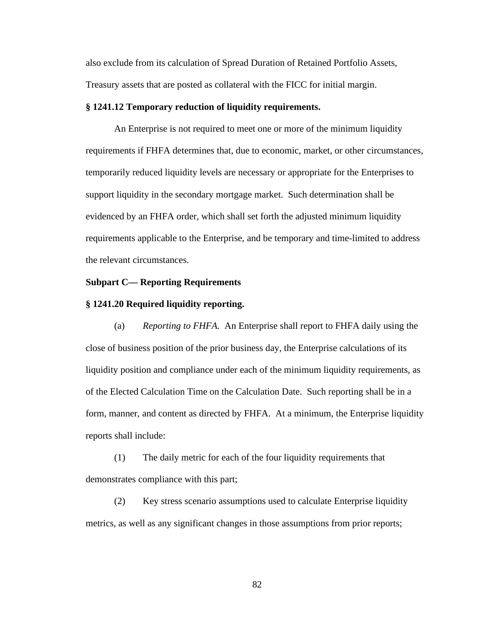also exclude from its calculation of Spread Duration of Retained Portfolio Assets, Treasury assets that are posted as collateral with the FICC for initial margin.

#### **§ 1241.12 Temporary reduction of liquidity requirements.**

An Enterprise is not required to meet one or more of the minimum liquidity requirements if FHFA determines that, due to economic, market, or other circumstances, temporarily reduced liquidity levels are necessary or appropriate for the Enterprises to support liquidity in the secondary mortgage market. Such determination shall be evidenced by an FHFA order, which shall set forth the adjusted minimum liquidity requirements applicable to the Enterprise, and be temporary and time-limited to address the relevant circumstances.

## **Subpart C— Reporting Requirements**

#### **§ 1241.20 Required liquidity reporting.**

(a) *Reporting to FHFA.* An Enterprise shall report to FHFA daily using the close of business position of the prior business day, the Enterprise calculations of its liquidity position and compliance under each of the minimum liquidity requirements, as of the Elected Calculation Time on the Calculation Date. Such reporting shall be in a form, manner, and content as directed by FHFA. At a minimum, the Enterprise liquidity reports shall include:

(1) The daily metric for each of the four liquidity requirements that demonstrates compliance with this part;

(2) Key stress scenario assumptions used to calculate Enterprise liquidity metrics, as well as any significant changes in those assumptions from prior reports;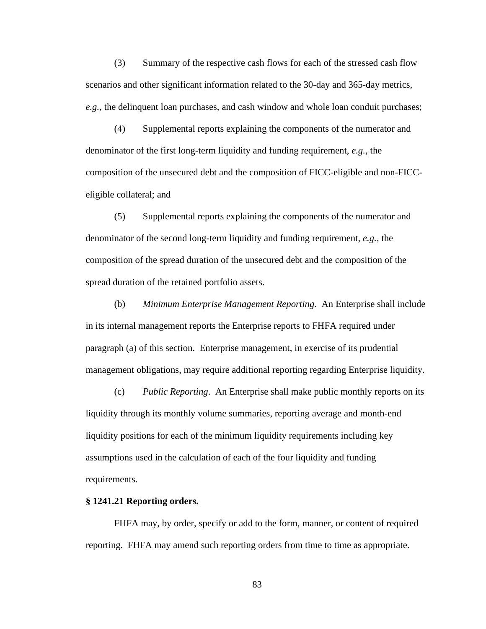(3) Summary of the respective cash flows for each of the stressed cash flow scenarios and other significant information related to the 30-day and 365-day metrics, *e.g.,* the delinquent loan purchases, and cash window and whole loan conduit purchases;

(4) Supplemental reports explaining the components of the numerator and denominator of the first long-term liquidity and funding requirement, *e.g.,* the composition of the unsecured debt and the composition of FICC-eligible and non-FICCeligible collateral; and

(5) Supplemental reports explaining the components of the numerator and denominator of the second long-term liquidity and funding requirement, *e.g.,* the composition of the spread duration of the unsecured debt and the composition of the spread duration of the retained portfolio assets.

(b) *Minimum Enterprise Management Reporting*. An Enterprise shall include in its internal management reports the Enterprise reports to FHFA required under paragraph (a) of this section. Enterprise management, in exercise of its prudential management obligations, may require additional reporting regarding Enterprise liquidity.

(c) *Public Reporting*. An Enterprise shall make public monthly reports on its liquidity through its monthly volume summaries, reporting average and month-end liquidity positions for each of the minimum liquidity requirements including key assumptions used in the calculation of each of the four liquidity and funding requirements.

### **§ 1241.21 Reporting orders.**

FHFA may, by order, specify or add to the form, manner, or content of required reporting. FHFA may amend such reporting orders from time to time as appropriate.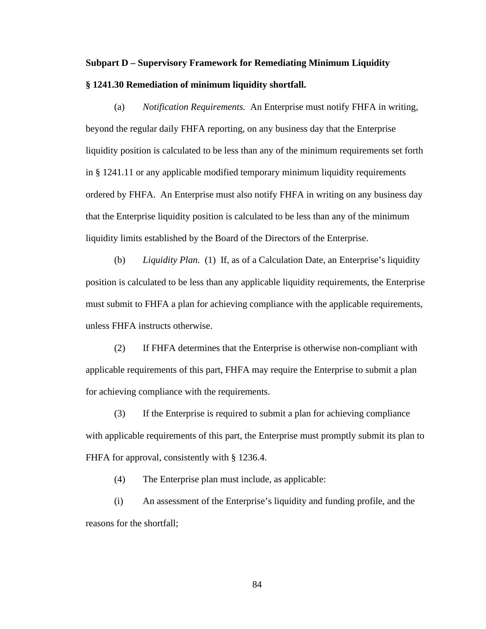## **Subpart D – Supervisory Framework for Remediating Minimum Liquidity § 1241.30 Remediation of minimum liquidity shortfall.**

(a) *Notification Requirements.* An Enterprise must notify FHFA in writing, beyond the regular daily FHFA reporting, on any business day that the Enterprise liquidity position is calculated to be less than any of the minimum requirements set forth in § 1241.11 or any applicable modified temporary minimum liquidity requirements ordered by FHFA. An Enterprise must also notify FHFA in writing on any business day that the Enterprise liquidity position is calculated to be less than any of the minimum liquidity limits established by the Board of the Directors of the Enterprise.

(b) *Liquidity Plan.* (1) If, as of a Calculation Date, an Enterprise's liquidity position is calculated to be less than any applicable liquidity requirements, the Enterprise must submit to FHFA a plan for achieving compliance with the applicable requirements, unless FHFA instructs otherwise.

(2) If FHFA determines that the Enterprise is otherwise non-compliant with applicable requirements of this part, FHFA may require the Enterprise to submit a plan for achieving compliance with the requirements.

(3) If the Enterprise is required to submit a plan for achieving compliance with applicable requirements of this part, the Enterprise must promptly submit its plan to FHFA for approval, consistently with § 1236.4.

(4) The Enterprise plan must include, as applicable:

(i) An assessment of the Enterprise's liquidity and funding profile, and the reasons for the shortfall;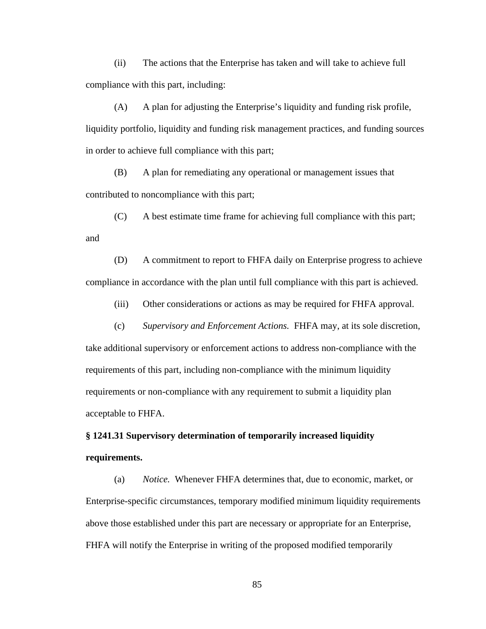(ii) The actions that the Enterprise has taken and will take to achieve full compliance with this part, including:

(A) A plan for adjusting the Enterprise's liquidity and funding risk profile, liquidity portfolio, liquidity and funding risk management practices, and funding sources in order to achieve full compliance with this part;

(B) A plan for remediating any operational or management issues that contributed to noncompliance with this part;

(C) A best estimate time frame for achieving full compliance with this part; and

(D) A commitment to report to FHFA daily on Enterprise progress to achieve compliance in accordance with the plan until full compliance with this part is achieved.

(iii) Other considerations or actions as may be required for FHFA approval.

(c) *Supervisory and Enforcement Actions.* FHFA may, at its sole discretion,

take additional supervisory or enforcement actions to address non-compliance with the requirements of this part, including non-compliance with the minimum liquidity requirements or non-compliance with any requirement to submit a liquidity plan acceptable to FHFA.

# **§ 1241.31 Supervisory determination of temporarily increased liquidity requirements.**

(a) *Notice.* Whenever FHFA determines that, due to economic, market, or Enterprise-specific circumstances, temporary modified minimum liquidity requirements above those established under this part are necessary or appropriate for an Enterprise, FHFA will notify the Enterprise in writing of the proposed modified temporarily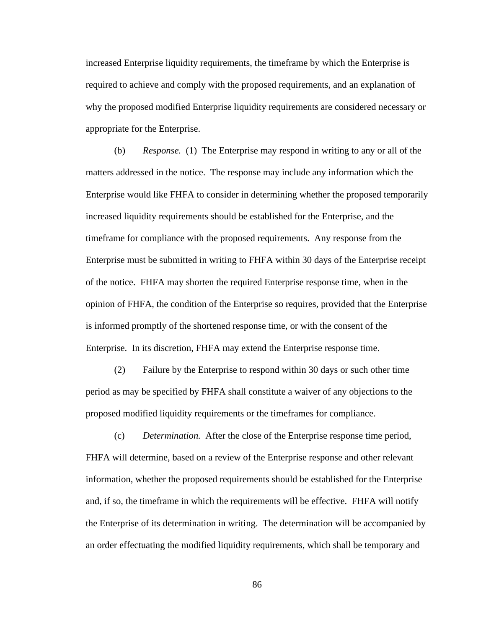increased Enterprise liquidity requirements, the timeframe by which the Enterprise is required to achieve and comply with the proposed requirements, and an explanation of why the proposed modified Enterprise liquidity requirements are considered necessary or appropriate for the Enterprise.

(b) *Response.* (1) The Enterprise may respond in writing to any or all of the matters addressed in the notice. The response may include any information which the Enterprise would like FHFA to consider in determining whether the proposed temporarily increased liquidity requirements should be established for the Enterprise, and the timeframe for compliance with the proposed requirements. Any response from the Enterprise must be submitted in writing to FHFA within 30 days of the Enterprise receipt of the notice. FHFA may shorten the required Enterprise response time, when in the opinion of FHFA, the condition of the Enterprise so requires, provided that the Enterprise is informed promptly of the shortened response time, or with the consent of the Enterprise. In its discretion, FHFA may extend the Enterprise response time.

(2) Failure by the Enterprise to respond within 30 days or such other time period as may be specified by FHFA shall constitute a waiver of any objections to the proposed modified liquidity requirements or the timeframes for compliance.

(c) *Determination.* After the close of the Enterprise response time period, FHFA will determine, based on a review of the Enterprise response and other relevant information, whether the proposed requirements should be established for the Enterprise and, if so, the timeframe in which the requirements will be effective. FHFA will notify the Enterprise of its determination in writing. The determination will be accompanied by an order effectuating the modified liquidity requirements, which shall be temporary and